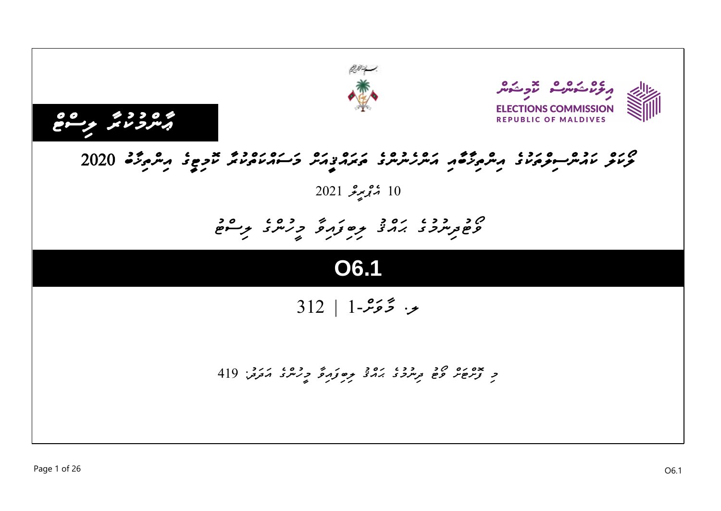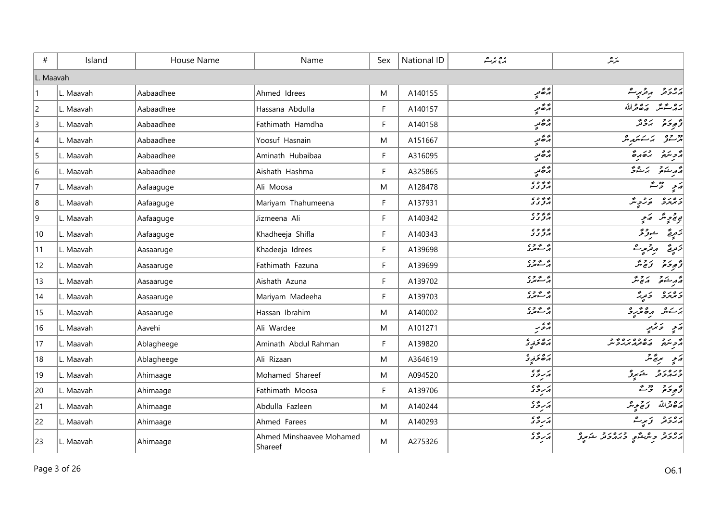| #               | Island     | House Name | Name                                | Sex       | National ID | ، ه ، ره<br>مربح بمرت          | يترمثر                                                     |
|-----------------|------------|------------|-------------------------------------|-----------|-------------|--------------------------------|------------------------------------------------------------|
| L. Maavah       |            |            |                                     |           |             |                                |                                                            |
| 1               | L. Maavah  | Aabaadhee  | Ahmed Idrees                        | M         | A140155     | پژځور                          | أرور و مرتز بر شر                                          |
| $\overline{2}$  | L. Maavah  | Aabaadhee  | Hassana Abdulla                     | F         | A140157     | پر پہ<br>درگھ مو               | برويح محامد الله                                           |
| 3               | L. Maavah  | Aabaadhee  | Fathimath Hamdha                    | F         | A140158     | پر پچ<br>تر تق <sup>م</sup> یر | أوجوحه بروثر                                               |
| $\vert 4$       | L. Maavah  | Aabaadhee  | Yoosuf Hasnain                      | M         | A151667     | ترځمنې                         | أتروه برسكتدبد                                             |
| 5               | L. Maavah  | Aabaadhee  | Aminath Hubaibaa                    | F         | A316095     | پژځور                          | أزويتهم بنقدة                                              |
| $6\overline{6}$ | L. Maavah  | Aabaadhee  | Aishath Hashma                      | F.        | A325865     | ترځ تړ                         | أمار مشكوه الكراشور                                        |
| 7               | L. Maavah  | Aafaaguge  | Ali Moosa                           | M         | A128478     | ه ۶ و ۲<br>مرکز <sub>ک</sub> ر | $\begin{bmatrix} 2 & 7 \\ -2 & 3 \end{bmatrix}$            |
| 8               | L. Maavah  | Aafaaguge  | Mariyam Thahumeena                  | F         | A137931     | ه ۶ و ۲<br>مرکز <sub>ک</sub> ر | و مده در و شرح                                             |
| $ 9\rangle$     | L. Maavah  | Aafaaguge  | Jizmeena Ali                        | F         | A140342     | ه ۶ و ۲<br>مرگ د د             | ىي چې تەركىيە<br>تونج چې تىش كەنچە<br>تۇنىي قى سىيەر كەنگە |
| 10              | L. Maavah  | Aafaaguge  | Khadheeja Shifla                    | F         | A140343     | ه ۶ و ۲<br>مرگ د د             |                                                            |
| 11              | L. Maavah  | Aasaaruge  | Khadeeja Idrees                     | F         | A139698     | پر مشرح دي<br>مرگ محري         | ر<br>ئەيدۇ مەنگەيدىشى                                      |
| 12              | L. Maavah  | Aasaaruge  | Fathimath Fazuna                    | F         | A139699     | پر مشرح پر<br>مرگ معربی        | تورد زديتر                                                 |
| 13              | L. Maavah  | Aasaaruge  | Aishath Azuna                       | F         | A139702     | پر مشرح پر<br>مرگ معربی        | ۇرىشكە دېمىگە                                              |
| 14              | L. Maavah  | Aasaaruge  | Mariyam Madeeha                     | F.        | A139703     | ې مەمەر<br>مەسىمىرى            | د پر پر د کار پر                                           |
| 15              | L. Maavah  | Aasaaruge  | Hassan Ibrahim                      | ${\sf M}$ | A140002     | ېږ مه د ،<br>د ک               | برسكس مرەمخرىر                                             |
| 16              | L. Maavah  | Aavehi     | Ali Wardee                          | M         | A101271     | الحرة سر                       | أة بحو وتحمير                                              |
| 17              | L. Maavah  | Ablagheege | Aminath Abdul Rahman                | F.        | A139820     | پره ځږي                        | 220102010101                                               |
| 18              | L. Maavah  | Ablagheege | Ali Rizaan                          | M         | A364619     | رە ر<br>مەخ ئېرى               | أوسمج يتمريح يتمر                                          |
| 19              | L. Maavah  | Ahimaage   | Mohamed Shareef                     | M         | A094520     | لرسر پر پر                     | ورەرو خىرۇ                                                 |
| 20              | L. Maavah  | Ahimaage   | Fathimath Moosa                     | F         | A139706     | ەسرچە                          | توجدة ويستم                                                |
| 21              | L. Maavah  | Ahimaage   | Abdulla Fazleen                     | M         | A140244     |                                | رەقمەللە ئەخم يەشر                                         |
| 22              | L. Maavah  | Ahimaage   | Ahmed Farees                        | M         | A140293     | أوسرونه                        | رەرد ئېرى                                                  |
| 23              | IL. Maavah | Ahimaage   | Ahmed Minshaavee Mohamed<br>Shareef | M         | A275326     | لەرچ                           | رەر د ویریش ورەر د شهرو                                    |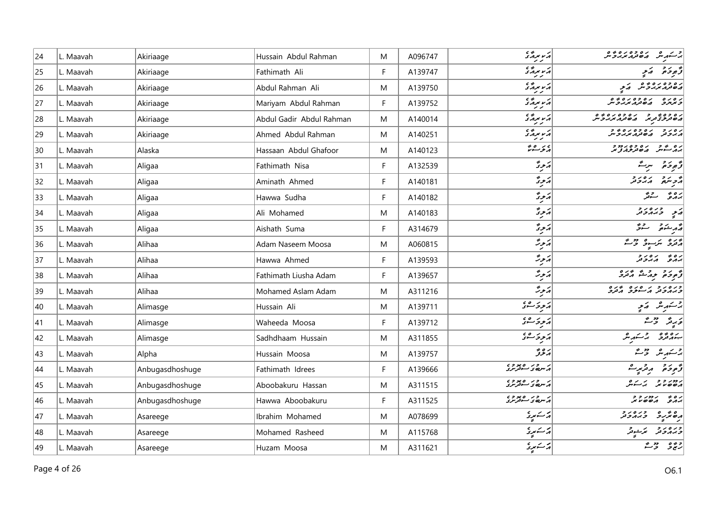| 24 | L. Maavah | Akiriaage       | Hussain Abdul Rahman     | M  | A096747 | برىدىدى                           |                                                                               |
|----|-----------|-----------------|--------------------------|----|---------|-----------------------------------|-------------------------------------------------------------------------------|
| 25 | L. Maavah | Akiriaage       | Fathimath Ali            | F. | A139747 | أرسم مردمى                        | وٌجودَ حَرِ                                                                   |
| 26 | L. Maavah | Akiriaage       | Abdul Rahman Ali         | M  | A139750 | ر<br>مرسم مرم <sup>ون</sup>       | - 101010707<br>גם <i>גריגיב</i> ית הב                                         |
| 27 | L. Maavah | Akiriaage       | Mariyam Abdul Rahman     | F. | A139752 | ر<br>مرسو برد <sup>م</sup>        | ر ٥ ۶ ٥ ٥ ٥ ٥ ٠<br>در <i>۰ تر در بر بر</i> ر<br>ر ه ر ه<br><del>ر</del> بربرگ |
| 28 | L. Maavah | Akiriaage       | Abdul Gadir Abdul Rahman | Μ  | A140014 | ر<br>مرسو پروژ                    | ג ם כסט בדי גם כסגם מים.<br>הפינת בניג הפינה הגבית                            |
| 29 | L. Maavah | Akiriaage       | Ahmed Abdul Rahman       | M  | A140251 | ترىدىدى                           | ג סג כ"ג ס כ ס ג ס ג כ"כ"ד.<br>הג כ"ב ט"ג ה הם בקה בג ג כ"יד                  |
| 30 | L. Maavah | Alaska          | Hassaan Abdul Ghafoor    | M  | A140123 | ى ئەھەتتە<br>مەخرىسىتىل           | ره مورد ده ده درد د<br>بروگستن ما ماند در در                                  |
| 31 | L. Maavah | Aligaa          | Fathimath Nisa           | F. | A132539 | بزود<br>╭                         | قرموختم سرت                                                                   |
| 32 | L. Maavah | Aligaa          | Aminath Ahmed            | F. | A140181 | بروی                              | أأترجع أتهادد                                                                 |
| 33 | L. Maavah | Aligaa          | Hawwa Sudha              | F. | A140182 | بروی                              | رەپ <sub>ە ج</sub> ەر<br>بەھ                                                  |
| 34 | L. Maavah | Aligaa          | Ali Mohamed              | M  | A140183 | بزيرة                             | أقدم وره رو                                                                   |
| 35 | L. Maavah | Aligaa          | Aishath Suma             | F. | A314679 | بزيرة                             | و در دور<br>مگر شوی سوی                                                       |
| 36 | L. Maavah | Alihaa          | Adam Naseem Moosa        | M  | A060815 | بزير                              | أرتروا الرسوف وحمدهم                                                          |
| 37 | L. Maavah | Alihaa          | Hawwa Ahmed              | F  | A139593 | بزير                              | ره په ره رو                                                                   |
| 38 | L. Maavah | Alihaa          | Fathimath Liusha Adam    | F  | A139657 | بزبرج                             | وتحوحا وارث المترد                                                            |
| 39 | L. Maavah | Alihaa          | Mohamed Aslam Adam       | Μ  | A311216 | بزىر                              | דנסגר גםגם שגם<br>בגמבני מיישבב מנקב                                          |
| 40 | L. Maavah | Alimasge        | Hussain Ali              | M  | A139711 | وكمروثاء                          | برسكهر شركمي                                                                  |
| 41 | L. Maavah | Alimasge        | Waheeda Moosa            | F  | A139712 | لروځ شو                           | ى بەر جۇ ئە                                                                   |
| 42 | L. Maavah | Alimasge        | Sadhdhaam Hussain        | M  | A311855 | ەئەرىرە ي                         | بتمديرو برسمهرش                                                               |
| 43 | L. Maavah | Alpha           | Hussain Moosa            | M  | A139757 | برویژ                             | بر سے مرتبہ حرمت                                                              |
| 44 | L. Maavah | Anbugasdhoshuge | Fathimath Idrees         | F. | A139666 | د سرچ د ۲۵ و د د<br>د سرچ د سوفرس | أزموخا والتزبر المحمد                                                         |
| 45 | L. Maavah | Anbugasdhoshuge | Aboobakuru Hassan        | M  | A311515 | ر سرح د ۲۵ وی<br>د سرچای سنگوری   | رددر د د کرک                                                                  |
| 46 | L. Maavah | Anbugasdhoshuge | Hawwa Aboobakuru         | F  | A311525 | ر سرچ ر ه پو د پ<br>د سرچای سسترس | גם זי גדוד כ                                                                  |
| 47 | L. Maavah | Asareege        | Ibrahim Mohamed          | M  | A078699 | ېر کے بیری<br>په                  | גפת כגופני                                                                    |
| 48 | L. Maavah | Asareege        | Mohamed Rasheed          | Μ  | A115768 | ېر کے <sub>محر</sub> ی<br>په      | פנים ק"ב   הרייבית<br>  פימח פני   הרייבית                                    |
| 49 | L. Maavah | Asareege        | Huzam Moosa              | M  | A311621 | ېر کے بیری<br>م                   | د وه ورځ                                                                      |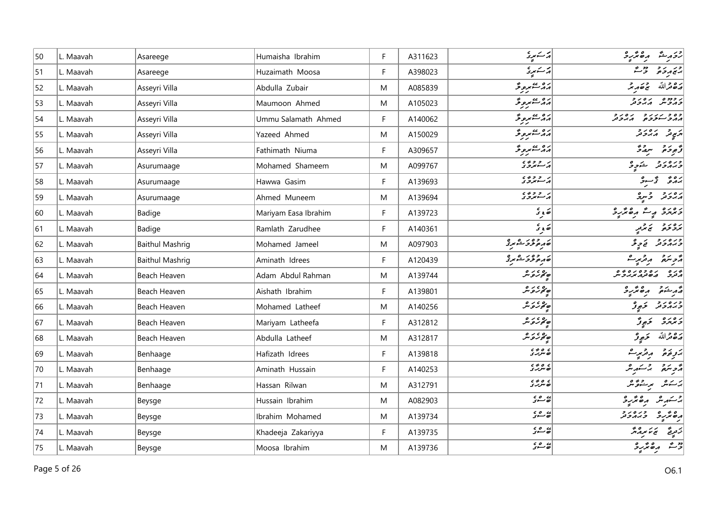| 50 | L. Maavah | Asareege               | Humaisha Ibrahim     | F  | A311623 | ېر کے پی <sub>و</sub> ی<br>په  | ەھەترىرى<br>ر ئەكەر مىگە<br>مەس               |
|----|-----------|------------------------|----------------------|----|---------|--------------------------------|-----------------------------------------------|
| 51 | L. Maavah | Asareege               | Huzaimath Moosa      | F. | A398023 | ېر کے پی <sub>و</sub> ی<br>مرگ | ويردد ودع                                     |
| 52 | L. Maavah | Asseyri Villa          | Abdulla Zubair       | M  | A085839 | ارو عديد و ځه<br>ارو شومرو ځ   | مَ صَحْرَاللّه مَ صَمْرَ مِرْ                 |
| 53 | L. Maavah | Asseyri Villa          | Maumoon Ahmed        | M  | A105023 | <br>  د د عصم د د ځ            | נ כמהם נהניה<br>כמבית הגבת                    |
| 54 | L. Maavah | Asseyri Villa          | Ummu Salamath Ahmed  | F  | A140062 | رەپ<br>مەرتىسىرە بىر           | כם כ גנגב הם הב<br>ההב <del>יינ</del> כם ההבת |
| 55 | L. Maavah | Asseyri Villa          | Yazeed Ahmed         | M  | A150029 | رە مەسىرە ئ <sup>ۆ</sup>       | أكربي فراكم براكر والمراكز                    |
| 56 | L. Maavah | Asseyri Villa          | Fathimath Niuma      | F  | A309657 | رەپىسىمب <i>و</i> مۇ           | توجوخو سرحرم                                  |
| 57 | L. Maavah | Asurumaage             | Mohamed Shameem      | M  | A099767 | ر د د ده ،<br>د سنترو د        | ورەرو شەرە                                    |
| 58 | L. Maavah | Asurumaage             | Hawwa Gasim          | F  | A139693 | ر د د د ،<br>د سنترو د         | برەپ تۇسىۋ                                    |
| 59 | L. Maavah | Asurumaage             | Ahmed Muneem         | M  | A139694 | ر و و د »<br>در سوبورۍ         | أرور و و درو                                  |
| 60 | L. Maavah | Badige                 | Mariyam Easa Ibrahim | F. | A139723 | ځونه                           | כמתכ קיש תפתקפ                                |
| 61 | L. Maavah | Badige                 | Ramlath Zarudhee     | F  | A140361 | 5.6                            | پروتونز دی پرتور                              |
| 62 | L. Maavah | <b>Baithul Mashrig</b> | Mohamed Jameel       | M  | A097903 | ەر مۇر ئەسىر ئى<br>مەمۇر ئەسىر | ورەرو رو                                      |
| 63 | L. Maavah | <b>Baithul Mashrig</b> | Aminath Idrees       | F  | A120439 | <br>  قەرەۋ ئەشمىرتى           | ومحر سكتمو المتحر ومحرسة                      |
| 64 | L. Maavah | Beach Heaven           | Adam Abdul Rahman    | M  | A139744 | ھەممەر ھە                      | پره ره ده ده په و<br>منرچ مگاهرم <i>پرچ</i> س |
| 65 | L. Maavah | Beach Heaven           | Aishath Ibrahim      | F  | A139801 | ە ئەرەبەر<br>مەمرىرىتىر        | ومشوقه موه والمراجح                           |
| 66 | L. Maavah | Beach Heaven           | Mohamed Latheef      | M  | A140256 | ە ئەمرىر مىر<br>مەمرىر مىر     | و ر ه ر د<br>تر بر بر تر<br>ځ چو ژ            |
| 67 | L. Maavah | Beach Heaven           | Mariyam Latheefa     | F. | A312812 | ە ئەرەپىر<br>مەمرىرىتىر        | ر ه ر ه<br><del>د</del> بربرو<br>ځږوگړ        |
| 68 | L. Maavah | Beach Heaven           | Abdulla Latheef      | M  | A312817 | ا پەيز ئەرەپە                  | صقعرالله<br>ځږوگ                              |
| 69 | L. Maavah | Benhaage               | Hafizath Idrees      | F  | A139818 | ه و د و<br>ه سربر د            | بروخوم<br>ىر قرىبە <sup>م</sup> ە             |
| 70 | L. Maavah | Benhaage               | Aminath Hussain      | F. | A140253 |                                | ىز سەمەتىر<br>أرمز                            |
| 71 | L. Maavah | Benhaage               | Hassan Rilwan        | M  | A312791 |                                | ىز سەش بىر يەم ھەر                            |
| 72 | L. Maavah | Beysge                 | Hussain Ibrahim      | M  | A082903 | » ه می                         | بر سکر شهر مره مخرج                           |
| 73 | L. Maavah | Beysge                 | Ibrahim Mohamed      | M  | A139734 | ی و ۽<br>ھ                     | و ر ه ر و<br>تر پروتر<br>ارە ئەرى<br>كەنسىسى  |
| 74 | L. Maavah | Beysge                 | Khadeeja Zakariyya   | F  | A139735 | » ه د ؟                        | زَمْرِيحٌ نَحْمَ مِرْدِيرٌ                    |
| 75 | L. Maavah | Beysge                 | Moosa Ibrahim        | M  | A139736 | ن ه د و<br>ن سر                | $rac{1}{2}$                                   |
|    |           |                        |                      |    |         |                                |                                               |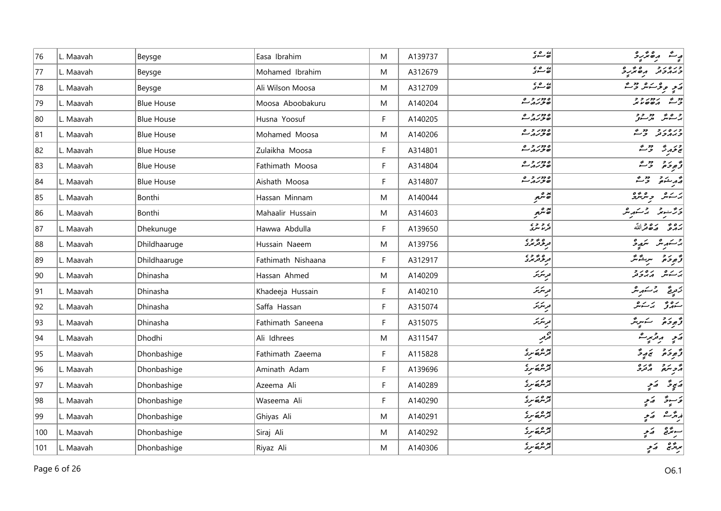| 76  | L. Maavah | Beysge            | Easa Ibrahim       | M         | A139737 | » ق- ه<br>پ                                             | ويه مۇمۇرۇ                   |
|-----|-----------|-------------------|--------------------|-----------|---------|---------------------------------------------------------|------------------------------|
| 77  | L. Maavah | Beysge            | Mohamed Ibrahim    | M         | A312679 | » ه می                                                  | כמחכת הסתנכ                  |
| 78  | L. Maavah | Beysge            | Ali Wilson Moosa   | ${\sf M}$ | A312709 | » ه و ۽                                                 | ار په وروسته در د            |
|     |           |                   |                    |           |         |                                                         |                              |
| 79  | L. Maavah | <b>Blue House</b> | Moosa Aboobakuru   | M         | A140204 | ە دىر دېر ھ                                             | $22222$ $23$                 |
| 80  | L. Maavah | <b>Blue House</b> | Husna Yoosuf       | F         | A140205 | ە دىر دېر                                               | جرعە ئىر تەرج تو             |
| 81  | L. Maavah | <b>Blue House</b> | Mohamed Moosa      | M         | A140206 | ە دىر دېم ھ                                             | وره دو دورمج                 |
| 82  | L. Maavah | <b>Blue House</b> | Zulaikha Moosa     | F         | A314801 | ە دىر دېر                                               | ەر ئەرگە ئ <sup>ە</sup>      |
| 83  | L. Maavah | <b>Blue House</b> | Fathimath Moosa    | F         | A314804 | ە دىر دېر                                               | وٌ وِ حَقَّ وَ حَسَّرُ       |
| 84  | L. Maavah | <b>Blue House</b> | Aishath Moosa      | F         | A314807 | ە دىر دەر                                               | و مرڪبو ويند                 |
| 85  | L. Maavah | Bonthi            | Hassan Minnam      | M         | A140044 | قانترم                                                  | يركبش وبربرد                 |
| 86  | L. Maavah | Bonthi            | Mahaalir Hussain   | M         | A314603 | قة شرح                                                  | وروسية المرسكر للمرامل       |
| 87  | L. Maavah | Dhekunuge         | Hawwa Abdulla      | F         | A139650 | ړ <i>د</i> د ،<br>تر <i>د سر</i> ند                     | بروء رووالله                 |
| 88  | L. Maavah | Dhildhaaruge      | Hussain Naeem      | M         | A139756 | مرڅونگر پر د                                            | جسكريش الكهرفى               |
| 89  | L. Maavah | Dhildhaaruge      | Fathimath Nishaana | F         | A312917 | ىر ۋىژىر ئ                                              | توجودة الرائيس               |
| 90  | L. Maavah | Dhinasha          | Hassan Ahmed       | ${\sf M}$ | A140209 | امریتریز                                                | پرستمبر مرکز مرد             |
| 91  | L. Maavah | Dhinasha          | Khadeeja Hussain   | F         | A140210 | ورسكرتر                                                 | تزمريق   برستهريش            |
| 92  | L. Maavah | Dhinasha          | Saffa Hassan       | F         | A315074 | ويتزيز                                                  | سىرە بىخ<br>برسەيىتىر        |
| 93  | L. Maavah | Dhinasha          | Fathimath Saneena  | F         | A315075 | ورىترتر                                                 | ژ <sub>م</sub> ودَه سەپپىر   |
| 94  | L. Maavah | Dhodhi            | Ali Idhrees        | M         | A311547 | اقدمبر                                                  | ړې پرترېږے                   |
| 95  | L. Maavah | Dhonbashige       | Fathimath Zaeema   | F         | A115828 | قريرىھ برد                                              | ۇ بوزى <sub>ۋ</sub><br>ىمەرچ |
| 96  | L. Maavah | Dhonbashige       | Aminath Adam       | F         | A139696 | بروه شریح <sub>سری</sub> ح                              | أروسكو<br>پر ہ<br>مرکز       |
| 97  | L. Maavah | Dhonbashige       | Azeema Ali         | F         | A140289 | قریریھ مربی                                             | ړې په کړ                     |
| 98  | L. Maavah | Dhonbashige       | Waseema Ali        | F         | A140290 | بو ه د ر ،<br>ترسره مرد                                 | غەسىپىۋ<br>ەكىپىيە           |
| 99  | L. Maavah | Dhonbashige       | Ghiyas Ali         | ${\sf M}$ | A140291 | بو 2 پر <sup>ج</sup><br>قرنتر <i>ہ م</i> ر <sub>ک</sub> | وبڑے<br>ەئىر                 |
| 100 | L. Maavah | Dhonbashige       | Siraj Ali          | M         | A140292 | محر شرحه سر بر                                          | سىتقى<br>رځمنو               |
| 101 | L. Maavah | Dhonbashige       | Riyaz Ali          | ${\sf M}$ | A140306 | پو <i>و</i> ر پر پ                                      | بروژه وزم                    |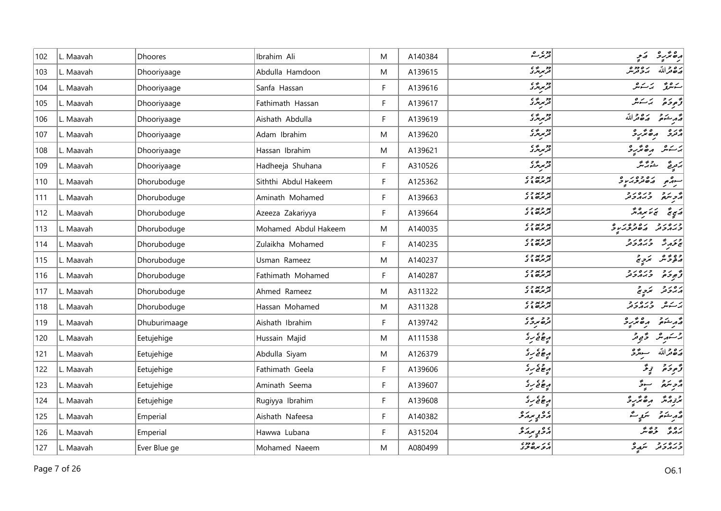| 102 | L. Maavah  | <b>Dhoores</b> | Ibrahim Ali          | M  | A140384 | دد ،<br>تربر ک                                | د ۱۵ تر ره<br>د<br>ەكىر                         |
|-----|------------|----------------|----------------------|----|---------|-----------------------------------------------|-------------------------------------------------|
| 103 | L. Maavah  | Dhooriyaage    | Abdulla Hamdoon      | M  | A139615 | دد<br>تربربری                                 | أصاص الله<br>بر ه دو ه<br>بر <del>و</del> ترمگر |
| 104 | L. Maavah  | Dhooriyaage    | Sanfa Hassan         | F  | A139616 | دد<br>ترمربری                                 | سەھەتىر<br>بزسەنلە                              |
| 105 | L. Maavah  | Dhooriyaage    | Fathimath Hassan     | F  | A139617 | دد<br>قرمرمری                                 | ا تو مر د<br>ا<br>برسەمىر                       |
| 106 | L. Maavah  | Dhooriyaage    | Aishath Abdulla      | F  | A139619 | دد<br>ترمویژی                                 | ح مر شوم مصر الله<br>م                          |
| 107 | L. Maavah  | Dhooriyaage    | Adam Ibrahim         | M  | A139620 | دد<br>ترمربری                                 | وره ده ورو                                      |
| 108 | L. Maavah  | Dhooriyaage    | Hassan Ibrahim       | M  | A139621 | دد<br>ترسر پر د                               | بركس مقترره                                     |
| 109 | L. Maavah  | Dhooriyaage    | Hadheeja Shuhana     | F  | A310526 | دد<br>ترمریز د                                | دەم بىر<br>سىزىگر<br>پر تورنج<br>س              |
| 110 | L. Maavah  | Dhoruboduge    | Siththi Abdul Hakeem | F  | A125362 | یو ویو و ی<br>تر <i>بره</i> ٤ ک               | ره ده ر<br>په هنروبر رو<br>سودھو                |
| 111 | LL. Maavah | Dhoruboduge    | Aminath Mohamed      | F  | A139663 | یو ویو و ی<br>تر <i>بوده</i> ی <sub>ا</sub> ی | و ره ر د<br>تر پر ژنو<br>لأحرسم                 |
| 112 | L. Maavah  | Dhoruboduge    | Azeeza Zakariyya     | F. | A139664 | پر وير و ع<br>تر <i>بر ه</i> ډ ک              | הַ אֲךָ הַנְתוֹת                                |
| 113 | L. Maavah  | Dhoruboduge    | Mohamed Abdul Hakeem | M  | A140035 | یو ویو و ی<br>تر <i>بر ه</i> ډ ک              | ورەرو رەدەررە                                   |
| 114 | L. Maavah  | Dhoruboduge    | Zulaikha Mohamed     | F  | A140235 | یو ویو و ی<br>تر <i>بر ه</i> ډ ک              | <i>ور ەر د</i><br>ح ځه پر ش                     |
| 115 | LL. Maavah | Dhoruboduge    | Usman Rameez         | M  | A140237 | پر و پر و ع<br>تر <i>بر ه</i> ٤ ک             | وەم ئەرىخ                                       |
| 116 | L. Maavah  | Dhoruboduge    | Fathimath Mohamed    | F  | A140287 | پر و پر و ع<br>تر <i>بر ه</i> ډ ک             | و ره ر د<br>رنگرونر<br>و څې د ځه                |
| 117 | L. Maavah  | Dhoruboduge    | Ahmed Rameez         | M  | A311322 | پر و پر و ع<br>تر <i>بر ه</i> ٤ ک             |                                                 |
| 118 | L. Maavah  | Dhoruboduge    | Hassan Mohamed       | M  | A311328 | پر وير و ع<br>تر <i>بر ه</i> ډ ک              | يركباه وره رو                                   |
| 119 | L. Maavah  | Dhuburimaage   | Aishath Ibrahim      | F  | A139742 | ترەم پردى<br>  ترەم پردى                      | پ <sup>و</sup> پر ڪوي<br>دەتمەر                 |
| 120 | L. Maavah  | Eetujehige     | Hussain Majid        | M  | A111538 | و ۽ دي<br>پره قربر                            | رُ سَمبر سُر گُرونڈ                             |
| 121 | L. Maavah  | Eetujehige     | Abdulla Siyam        | M  | A126379 | د ج جي پري<br>پرهاي سرچ                       | ەھىراللە<br>سىدۇ                                |
| 122 | L. Maavah  | Eetujehige     | Fathimath Geela      | F  | A139606 | <br> پره نځ سره                               | ۇمۇمۇ تېۋ                                       |
| 123 | L. Maavah  | Eetujehige     | Aminath Seema        | F  | A139607 | و ء<br>مرھ قرير د                             | أرمر<br>سەۋ                                     |
| 124 | LL. Maavah | Eetujehige     | Rugiyya Ibrahim      | F  | A139608 | و ء ء<br>پره قربر د                           | ڔۿؠٞڔڋ<br>و وه ه<br>مرتو مرکز                   |
| 125 | L. Maavah  | Emperial       | Aishath Nafeesa      | F  | A140382 | ة دو برمرمو                                   | و ديده تربيءَ<br>م                              |
| 126 | L. Maavah  | Emperial       | Hawwa Lubana         | F  | A315204 | پروېږ پر ټرو                                  | برەپچ<br>و ه پژ                                 |
| 127 | L. Maavah  | Ever Blue ge   | Mohamed Naeem        | M  | A080499 | در ده دود د<br>ارو مره مرد                    | ورەرو شەۋ                                       |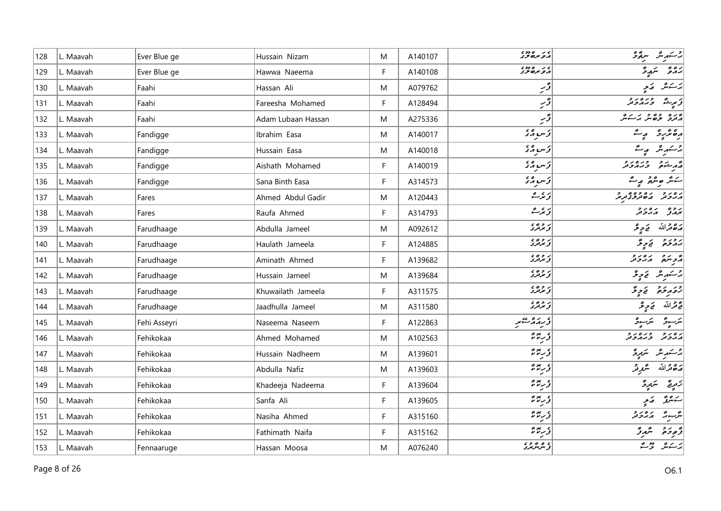| 128 | L. Maavah | Ever Blue ge | Hussain Nizam      | M  | A140107 | ی ر۔ ۲۵۵<br>دی بره مرد     | 2 سەر شەھەر                                  |
|-----|-----------|--------------|--------------------|----|---------|----------------------------|----------------------------------------------|
| 129 | L. Maavah | Ever Blue ge | Hawwa Naeema       | F  | A140108 | ړ ر د ده ده<br>د تو برخو د | برە ئىمەتى                                   |
| 130 | L. Maavah | Faahi        | Hassan Ali         | M  | A079762 | قرسر                       | أيزكت وكالمح                                 |
| 131 | L. Maavah | Faahi        | Fareesha Mohamed   | F  | A128494 | و<br>ترس                   | و ره ر و<br>تر پر پر تر<br> وَ سٍ شَہُ       |
| 132 | L. Maavah | Faahi        | Adam Lubaan Hassan | M  | A275336 | وٌسِ                       | وره دود رسه                                  |
| 133 | L. Maavah | Fandigge     | Ibrahim Easa       | M  | A140017 | ز سو د <sup>د</sup>        | رەنزىر پەت                                   |
| 134 | L. Maavah | Fandigge     | Hussain Easa       | M  | A140018 | ر<br>زسو مړ                | 2سكىرىنقى مەت                                |
| 135 | L. Maavah | Fandigge     | Aishath Mohamed    | F  | A140019 | ۇسورى                      | د دره دره در در د                            |
| 136 | L. Maavah | Fandigge     | Sana Binth Easa    | F. | A314573 | ر<br>زسو م <sup>و</sup>    | سەنئر ھەتبۇر مەت                             |
| 137 | L. Maavah | Fares        | Ahmed Abdul Gadir  | M  | A120443 | ىر ئەھ                     | ر و د و د و و و د د<br>مدرو د ه ه ترو د تريز |
| 138 | L. Maavah | Fares        | Raufa Ahmed        | F  | A314793 | ىر ، مە<br>يوپىر           | بروو برور و                                  |
| 139 | L. Maavah | Farudhaage   | Abdulla Jameel     | M  | A092612 | ر و د د<br>تو برترد        | پره قرالله کے ترعمہ                          |
| 140 | L. Maavah | Farudhaage   | Haulath Jameela    | F. | A124885 | ر و د د<br>تر برترد        | يرورو المحاجاني                              |
| 141 | L. Maavah | Farudhaage   | Aminath Ahmed      | F  | A139682 | ر و ر د<br>تو بوترو        | أترو سكو المراد وراد                         |
| 142 | L. Maavah | Farudhaage   | Hussain Jameel     | Μ  | A139684 | ر و د د<br>تو برترد        | يزحكم فالمحافي                               |
| 143 | L. Maavah | Farudhaage   | Khuwailath Jameela | F. | A311575 | ر و د د<br>تو برترد        | لتقهر فتحقيقي فتحاجي فحر                     |
| 144 | L. Maavah | Farudhaage   | Jaadhulla Jameel   | M  | A311580 | ر و پر ،<br>تو برترد       | قومرالله<br>تح تر ر                          |
| 145 | L. Maavah | Fehi Asseyri | Naseema Naseem     | F  | A122863 | نې په ده مه موس<br>گر      | يرَسودُ    يرَسودُ                           |
| 146 | L. Maavah | Fehikokaa    | Ahmed Mohamed      | M  | A102563 | ې مهر په<br>ن              | נפני כנסני<br>גיבע בייגבע                    |
| 147 | L. Maavah | Fehikokaa    | Hussain Nadheem    | M  | A139601 | ې به پرځ<br>د              |                                              |
| 148 | L. Maavah | Fehikokaa    | Abdulla Nafiz      | M  | A139603 | ې مه پره<br>د              | برە تراللە<br>سُمَّدِنْرُ                    |
| 149 | L. Maavah | Fehikokaa    | Khadeeja Nadeema   | F  | A139604 | ې مهرم په<br>تر سرمانو     | سرمرر<br>  تر ورقعٌ<br>                      |
| 150 | L. Maavah | Fehikokaa    | Sanfa Ali          | F  | A139605 | ې مه پره<br>د              | سەھدىقە ھەمىيە                               |
| 151 | L. Maavah | Fehikokaa    | Nasiha Ahmed       | F  | A315160 | ۇرىيۇ                      | شهره رورد                                    |
| 152 | L. Maavah | Fehikokaa    | Fathimath Naifa    | F. | A315162 | ې پېړن <sup>ه</sup>        | قَە ئەرقى ئىتىدۇ                             |
| 153 | L. Maavah | Fennaaruge   | Hassan Moosa       | M  | A076240 | ې ه په دې<br>نو مرمتر پرې  | ير کے مراج کے لیے                            |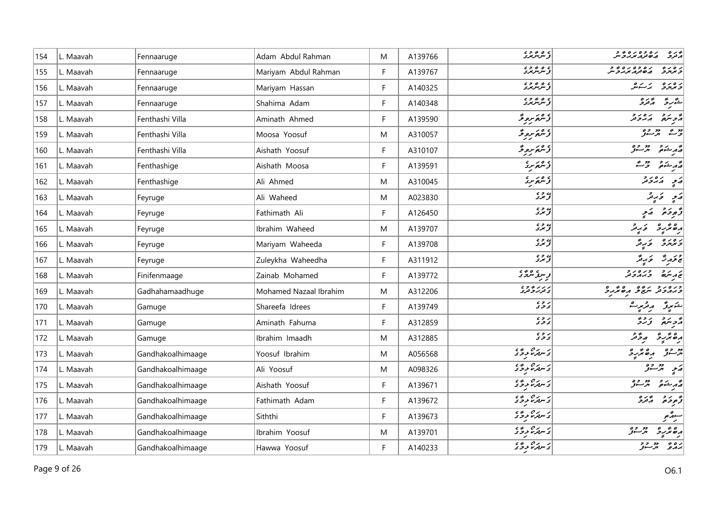| 154 | L. Maavah  | Fennaaruge        | Adam Abdul Rahman      | M           | A139766 | ې ه پر د ،<br>نو مرمتر پر د               | ر ه د ه ر ه د و<br>پره تربر تر بر<br>پور ہ<br>پرترو                          |
|-----|------------|-------------------|------------------------|-------------|---------|-------------------------------------------|------------------------------------------------------------------------------|
| 155 | L. Maavah  | Fennaaruge        | Mariyam Abdul Rahman   | F           | A139767 | ه و و د ه<br>و سرسربرد                    | ر ه و ه ر ه د و<br>پره تربر <i>بربر و</i> س<br>ر ه ر ه<br><del>ر</del> بربرو |
| 156 | L. Maavah  | Fennaaruge        | Mariyam Hassan         | F           | A140325 | ه و و د ه<br>و مرمتربر د                  | ر ه ر ه<br><del>ر</del> بربرو<br>برسەمىر                                     |
| 157 | L. Maavah  | Fennaaruge        | Shahima Adam           | $\mathsf F$ | A140348 | ، ه پر د ،<br>و مرمتر پر د                | شەرىرىچە<br>پەر ە<br>مەنزۈ                                                   |
| 158 | L. Maavah  | Fenthashi Villa   | Aminath Ahmed          | $\mathsf F$ | A139590 | ۇ ئىقۇروقە                                | بر 2 ر ح<br>م <i>ر</i> بر <del>د</del> تر<br>أرمره                           |
| 159 | L. Maavah  | Fenthashi Villa   | Moosa Yoosuf           | M           | A310057 | ۇ ئىرىم بىرىد                             | اژ میں مقرر دور<br>ارائی میں مقرر کو دی                                      |
| 160 | LL. Maavah | Fenthashi Villa   | Aishath Yoosuf         | F           | A310107 | ۇ ئىرىم بىرىد                             | ا پر مرکز در محمد<br>ا<br>ېزىستۇ                                             |
| 161 | L. Maavah  | Fenthashige       | Aishath Moosa          | F           | A139591 | ې ۵مرسري<br>تر مربو                       | $\begin{array}{cc} 2 & 2 & 3 \\ -2 & 2 & 3 \end{array}$                      |
| 162 | L. Maavah  | Fenthashige       | Ali Ahmed              | M           | A310045 | ې ۵ پر په<br>نو سره سر <sub>ک</sub>       | أتمنح أترجمون                                                                |
| 163 | L. Maavah  | Feyruge           | Ali Waheed             | M           | A023830 | در و د<br>تو بو ی                         | أركمني أتحرك وترفر                                                           |
| 164 | L. Maavah  | Feyruge           | Fathimath Ali          | F           | A126450 | در و د<br>تو بو د                         | و څو څخه د<br>ەتە                                                            |
| 165 | L. Maavah  | Feyruge           | Ibrahim Waheed         | M           | A139707 | ړ، و ،<br>تو بو ،                         | ە ھەتگەرى<br>بەھەتگەرى<br>ءَ ٻريٽر                                           |
| 166 | L. Maavah  | Feyruge           | Mariyam Waheeda        | F           | A139708 | ړ، و ،<br>تو مور                          | أوتوبره<br>ى برىگ                                                            |
| 167 | L. Maavah  | Feyruge           | Zuleykha Waheedha      | $\mathsf F$ | A311912 | ړے و پر<br>تو سربی                        | چ ئۇ م <sup>ەش</sup> ر<br>ءَ ٻرِ تَرُ                                        |
| 168 | L. Maavah  | Finifenmaage      | Zainab Mohamed         | $\mathsf F$ | A139772 | ار سرز مرد و <del>ه</del><br>په سرز مرد د | ے مرکز درہ دو<br>تحمد سرحت حدید حال                                          |
| 169 | L. Maavah  | Gadhahamaadhuge   | Mohamed Nazaal Ibrahim | M           | A312206 | ر ر ر بر و ،<br>ى تىرىرى تىرى             | כנסנכ נשם בסתובים<br>בגהכת יישיב הסתנכ                                       |
| 170 | L. Maavah  | Gamuge            | Shareefa Idrees        | F           | A139749 | ر و ،<br>ى <del>ر</del> ي                 | ے مورگر<br>م<br>ىر قرىر شە                                                   |
| 171 | L. Maavah  | Gamuge            | Aminath Fahuma         | $\mathsf F$ | A312859 | ر و ،<br>ى <del>ر</del> ي                 | أرمز<br>ۇرۇ                                                                  |
| 172 | L. Maavah  | Gamuge            | Ibrahim Imaadh         | M           | A312885 | ر و ،<br>ى <del>ر</del> ي                 | ە ھەترىر <sup>ى</sup><br>رەھىرىرى<br>ە ئەتر                                  |
| 173 | L. Maavah  | Gandhakoalhimaaqe | Yoosuf Ibrahim         | M           | A056568 | ر<br>ئەستىر ئا ئوچ <sub>ە</sub> ئ         | وريدو<br>درسور<br>ە ھەترىر <sup>ە</sup>                                      |
| 174 | L. Maavah  | Gandhakoalhimaage | Ali Yoosuf             | M           | A098326 | ر<br>ئەستىرىئا بىرىخ ئ                    | $\begin{bmatrix} 2 & 2 & 3 \ 3 & -3 & 2 \end{bmatrix}$                       |
| 175 | L. Maavah  | Gandhakoalhimaage | Aishath Yoosuf         | $\mathsf F$ | A139671 | ر<br>ئەستىرىئ <sup>ى</sup> رىخى           | و در در در در دره<br>درگار شور در در                                         |
| 176 | L. Maavah  | Gandhakoalhimaaqe | Fathimath Adam         | $\mathsf F$ | A139672 | ر<br>ئەستىرىنى ئەم                        | نژ <sub>م</sub> ر در<br>گرمو <del>د</del> مو<br>پور ہ<br>مرکزو               |
| 177 | L. Maavah  | Gandhakoalhimaaqe | Siththi                | F           | A139673 | ر<br>ئەستىرىكى ئەمى                       | سوهرمو                                                                       |
| 178 | L. Maavah  | Gandhakoalhimaaqe | Ibrahim Yoosuf         | M           | A139701 | ئەستىرىم بورگى                            | دە ترىپە<br>دد و ه<br>در سور                                                 |
| 179 | L. Maavah  | Gandhakoalhimaage | Hawwa Yoosuf           | F           | A140233 | <br>  ئى سرچرىم عرد تحرى                  | رە بە<br>بەد تو<br>دد به در                                                  |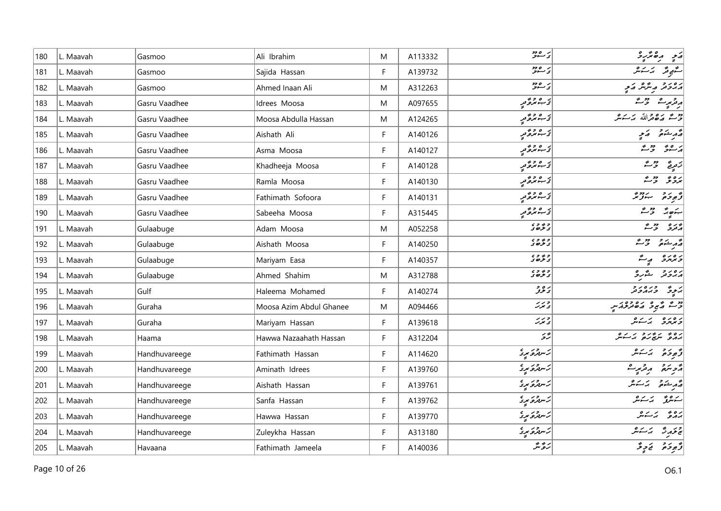| 180 | L. Maavah | Gasmoo        | Ali Ibrahim             | M           | A113332 | بر ۶۵ دو                                     | $5 - 20$                                                                                                                                             |
|-----|-----------|---------------|-------------------------|-------------|---------|----------------------------------------------|------------------------------------------------------------------------------------------------------------------------------------------------------|
| 181 | L. Maavah | Gasmoo        | Sajida Hassan           | F           | A139732 | ر ۱۶۵ ده<br>د سرد                            | سگەيەنگر - ئەسكەنلر                                                                                                                                  |
| 182 | L. Maavah | Gasmoo        | Ahmed Inaan Ali         | M           | A312263 | ىر ھەدد                                      | وتمدد ويترشر وكمي                                                                                                                                    |
| 183 | L. Maavah | Gasru Vaadhee | Idrees Moosa            | M           | A097655 | تزىبە برگە بېر                               | روزېږے ورځ<br>ر                                                                                                                                      |
| 184 | L. Maavah | Gasru Vaadhee | Moosa Abdulla Hassan    | M           | A124265 | ئەب ئە ئرۇ تېر                               | وحث مەھىراللە ئەسەم                                                                                                                                  |
| 185 | L. Maavah | Gasru Vaadhee | Aishath Ali             | $\mathsf F$ | A140126 | تۇ س <sup>ە</sup> جرەڭ مە                    | و ديده دي.<br>درستونو وي                                                                                                                             |
| 186 | L. Maavah | Gasru Vaadhee | Asma Moosa              | F           | A140127 | تز بە ترۇپر                                  | $23 - 5 - 7$                                                                                                                                         |
| 187 | L. Maavah | Gasru Vaadhee | Khadheeja Moosa         | F           | A140128 | تز بە ترگە بېر                               | دين مشر<br>  ترموقح                                                                                                                                  |
| 188 | L. Maavah | Gasru Vaadhee | Ramla Moosa             | F           | A140130 | ئۇ سەمرۇپر                                   | رەپە دەپ                                                                                                                                             |
| 189 | L. Maavah | Gasru Vaadhee | Fathimath Sofoora       | F           | A140131 | تر بە جرگە تېر                               | سەۋىمە<br>ا تو بر در<br>ا                                                                                                                            |
| 190 | L. Maavah | Gasru Vaadhee | Sabeeha Moosa           | F           | A315445 | -<br>  تى سىم مرغ مېر                        | $\frac{2}{3}$<br>حريم محر                                                                                                                            |
| 191 | L. Maavah | Gulaabuge     | Adam Moosa              | M           | A052258 | د ۶ و ۲<br>ک نژه ک                           | پر و دیگر<br>م <i>رکز</i> و ش                                                                                                                        |
| 192 | L. Maavah | Gulaabuge     | Aishath Moosa           | F           | A140250 | د ۶ و ۲<br>د تره د                           | و در در در در در در در کند با کلید<br>ماه در سور در سر در کلید با کلید در کلید با کلید و در کلید و در کلید و در کلید و کلید و در کلید و کلید و در کل |
| 193 | L. Maavah | Gulaabuge     | Mariyam Easa            | F           | A140357 | د د د د<br>د نژه د                           | دەرە پەڭ                                                                                                                                             |
| 194 | L. Maavah | Gulaabuge     | Ahmed Shahim            | M           | A312788 | د و د ه<br>د نژه د                           | رەرد شەرۋ                                                                                                                                            |
| 195 | L. Maavah | Gulf          | Haleema Mohamed         | F           | A140274 | ژیخوتر                                       | يَا وَيَا وَيَا وَيَا وَ                                                                                                                             |
| 196 | L. Maavah | Guraha        | Moosa Azim Abdul Ghanee | M           | A094466 | و بر بر<br>ئ                                 | כ״ ג'י פי הסתיבג'ת                                                                                                                                   |
| 197 | L. Maavah | Guraha        | Mariyam Hassan          | F           | A139618 | ح مر پر<br>ئ                                 | رەرە برىش                                                                                                                                            |
| 198 | L. Maavah | Haama         | Hawwa Nazaahath Hassan  | F.          | A312204 | ترىر                                         | رەپ بەيرە بەسەش                                                                                                                                      |
| 199 | L. Maavah | Handhuvareege | Fathimath Hassan        | F           | A114620 | ئەسە <i>تى ئە</i> رى                         | ۋە ئەس ئەسەھ                                                                                                                                         |
| 200 | L. Maavah | Handhuvareege | Aminath Idrees          | F           | A139760 | ر سرچر <sub>سر</sub> ي<br>سرچر <i>ي پ</i> ري | ۇ دىكۇ بەر ئېرىش                                                                                                                                     |
| 201 | L. Maavah | Handhuvareege | Aishath Hassan          | $\mathsf F$ | A139761 | ئەسە <i>تى كى</i> رى                         | ۇرىشۇ ئەسكە                                                                                                                                          |
| 202 | L. Maavah | Handhuvareege | Sanfa Hassan            | F           | A139762 | ر سرچر <sub>سر</sub> ي<br>سرچر <i>ي پ</i> ري | سەندىق بەسەند                                                                                                                                        |
| 203 | L. Maavah | Handhuvareege | Hawwa Hassan            | F           | A139770 | ئەس <i>ەۋە بې</i> رى                         | برە ئەسەر                                                                                                                                            |
| 204 | L. Maavah | Handhuvareege | Zuleykha Hassan         | F.          | A313180 | ئەس <i>ەۋە ئې</i> رى                         | برسەنلە<br>چ ئۇ م <sup>ەش</sup>                                                                                                                      |
| 205 | L. Maavah | Havaana       | Fathimath Jameela       | F           | A140036 | ر پەيتر<br>سرەتىر                            | وٌجِوحَ وَصَحِرِ وَ                                                                                                                                  |
|     |           |               |                         |             |         |                                              |                                                                                                                                                      |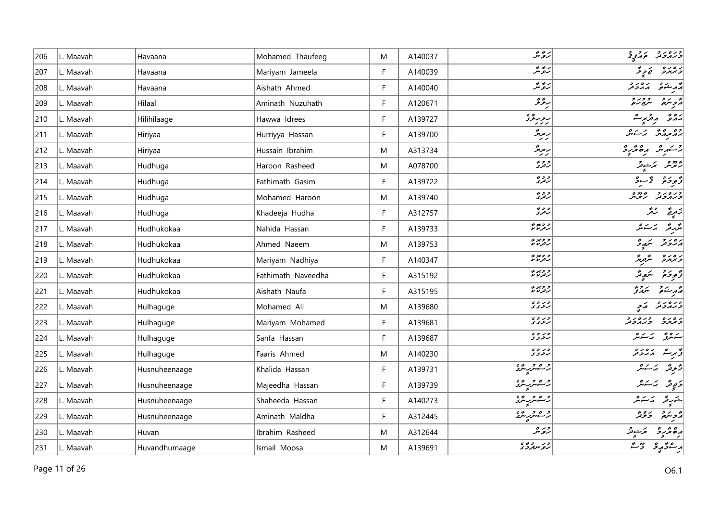| 206 | L. Maavah  | Havaana       | Mohamed Thaufeeg   | M  | A140037 | ر پەيتر<br>رەڭ ئىش                    | כממכנה ומרק ל                                           |
|-----|------------|---------------|--------------------|----|---------|---------------------------------------|---------------------------------------------------------|
| 207 | L. Maavah  | Havaana       | Mariyam Jameela    | F  | A140039 | ر پەيۇ<br>رەھ بىر                     | ويوره في في                                             |
| 208 | L. Maavah  | Havaana       | Aishath Ahmed      | F  | A140040 | ىر ئەشر                               | ه دشتم د د در د                                         |
| 209 | L. Maavah  | Hilaal        | Aminath Nuzuhath   | F  | A120671 | رۇۋ                                   | پر پر پر پر<br>سرچ سرحو<br>ۇ جە ئىدە<br>م               |
| 210 | L. Maavah  | Hilihilaage   | Hawwa Idrees       | F  | A139727 | ر ور د د د<br>بر د بر                 | رەپە مەرىپرىشى<br>بەرە مەرىرىپ                          |
| 211 | L. Maavah  | Hiriyaa       | Hurriyya Hassan    | F  | A139700 | رىرىژ                                 | co or inde                                              |
| 212 | L. Maavah  | Hiriyaa       | Hussain Ibrahim    | Μ  | A313734 | رىرىژ                                 | جسكريثر المقتربة                                        |
| 213 | L. Maavah  | Hudhuga       | Haroon Rasheed     | M  | A078700 | و و په<br>ر تورگ                      | و دوه به بر در د                                        |
| 214 | L. Maavah  | Hudhuga       | Fathimath Gasim    | F. | A139722 | و و په<br>روزي                        | أُوُّ جوحر تَوَّ سِرْحَ                                 |
| 215 | L. Maavah  | Hudhuga       | Mohamed Haroon     | M  | A139740 | و و په<br>رندرگ                       | یر دو ه<br>رنجو مگر<br>و ر ه ر د<br>تر پر تر تر         |
| 216 | L. Maavah  | Hudhuga       | Khadeeja Hudha     | F  | A312757 | و و په<br>ر تورگ                      | زَمِرِيَّ رُتَّر                                        |
| 217 | L. Maavah  | Hudhukokaa    | Nahida Hassan      | F  | A139733 | و وير پر<br>رقوما ما                  | لتربرق الاسكان                                          |
| 218 | L. Maavah  | Hudhukokaa    | Ahmed Naeem        | M  | A139753 | و ويو پر<br>ر تو <i>ب</i> ر با        | أرەر ئەرە                                               |
| 219 | L. Maavah  | Hudhukokaa    | Mariyam Nadhiya    | F  | A140347 | و ويو پر<br>ريون تا                   | رەرە شەرش                                               |
| 220 | L. Maavah  | Hudhukokaa    | Fathimath Naveedha | F  | A315192 | و ويو پر<br>ريون تا                   | توجو خريجة                                              |
| 221 | IL. Maavah | Hudhukokaa    | Aishath Naufa      | F. | A315195 | و ويو په<br>ر تورد ر                  | أشهر مشتمر المستعداد                                    |
| 222 | L. Maavah  | Hulhaguge     | Mohamed Ali        | M  | A139680 | و ر و ،<br>رنگ ی                      | درەرد كەر                                               |
| 223 | L. Maavah  | Hulhaguge     | Mariyam Mohamed    | F. | A139681 | و ر و ،<br>رو ړ                       | و رە ر د<br>تر پەر تەر<br>ر ه ر ه<br><del>ر</del> بربرگ |
| 224 | L. Maavah  | Hulhaguge     | Sanfa Hassan       | F. | A139687 | و ر و ،<br>رؤى ى                      | سەھەر بەسەھ                                             |
| 225 | L. Maavah  | Hulhaguge     | Faaris Ahmed       | M  | A140230 | و ر و ،<br>رنگ ی                      | بر 2 ر ح<br>م <i>ر</i> بر <del>5</del> تو<br>  قرسر عه  |
| 226 | L. Maavah  | Husnuheenaage | Khalida Hassan     | F. | A139731 | 2 مەش <sub>رىپ</sub> ىدى<br>مەس       | ڈیوٹر کاسکار                                            |
| 227 | L. Maavah  | Husnuheenaage | Majeedha Hassan    | F  | A139739 | ر مشر براند در در بار<br>مرگه بر      | دَيٍّرٌ يَرْسَسُّ                                       |
| 228 | L. Maavah  | Husnuheenaage | Shaheeda Hassan    | F  | A140273 | <sup>3</sup> ر مەش <sub>رىپ</sub> ىدى | شەرىگە كەسكەنلە                                         |
| 229 | L. Maavah  | Husnuheenaage | Aminath Maldha     | F  | A312445 | 2 مەش <sub>رىپ</sub> ىدى<br>مەسرىپە   | أأروسي ودور                                             |
| 230 | L. Maavah  | Huvan         | Ibrahim Rasheed    | M  | A312644 | حەر ھ<br>سرە بىر                      | رەپرىي ئەسىم<br>مەھمەر ئىسىم                            |
| 231 | L. Maavah  | Huvandhumaage | Ismail Moosa       | M  | A139691 | و ر<br>ره سربرو د                     | $23 - 312$                                              |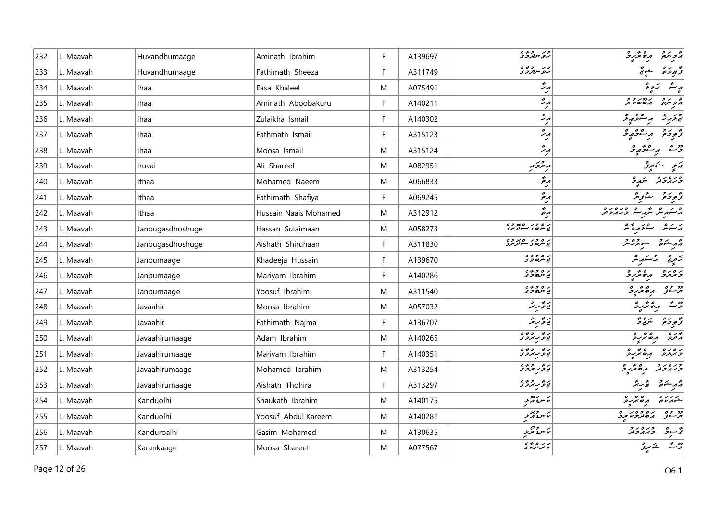| 232 | L. Maavah  | Huvandhumaage    | Aminath Ibrahim       | F         | A139697 | و ر په ده د<br>رو سربرو د                                | ەر ھەترىر 3<br>ر<br>ومحر سنرو                             |
|-----|------------|------------------|-----------------------|-----------|---------|----------------------------------------------------------|-----------------------------------------------------------|
| 233 | L. Maavah  | Huvandhumaage    | Fathimath Sheeza      | F         | A311749 | ور سروره پر<br>ره سربرو <sub>ک</sub>                     | نژ جو <del>ز</del> و<br>گرمو <del>ز</del> حو<br>شويج<br>ح |
| 234 | L. Maavah  | <b>Ihaa</b>      | Easa Khaleel          | ${\sf M}$ | A075491 | وشح                                                      | ەپەنىشە<br>مەس<br>تزوقر                                   |
| 235 | L. Maavah  | Ihaa             | Aminath Aboobakuru    | F         | A140211 | مرشح                                                     | أأرو يرو<br>77777                                         |
| 236 | L. Maavah  | Ihaa             | Zulaikha Ismail       | F         | A140302 | وشح                                                      | برىشۇپەيى<br>چ ئۇ م <sup>ەش</sup> ر                       |
| 237 | L. Maavah  | <b>Ihaa</b>      | Fathmath Ismail       | F         | A315123 | برمح                                                     | قهودة ويحفظو                                              |
| 238 | IL. Maavah | Ihaa             | Moosa Ismail          | ${\sf M}$ | A315124 | پرمح                                                     | ويد مستوفيو                                               |
| 239 | L. Maavah  | Iruvai           | Ali Shareef           | M         | A082951 | مرتزعهر                                                  | أركمج التشميرو                                            |
| 240 | L. Maavah  | Ithaa            | Mohamed Naeem         | ${\sf M}$ | A066833 | برځ                                                      | כנסנכ הקי                                                 |
| 241 | L. Maavah  | Ithaa            | Fathimath Shafiya     | F         | A069245 | ەرەتى                                                    | أَوْجِرْ حَمْدٍ مِسْتَوِيرٌ                               |
| 242 | L. Maavah  | Ithaa            | Hussain Naais Mohamed | M         | A312912 | برنج                                                     | ג הודי יות המודע במודע                                    |
| 243 | L. Maavah  | Janbugasdhoshuge | Hassan Sulaimaan      | ${\sf M}$ | A058273 | ر ۵ و ر ۵ پر و ٤<br>تع سرچ <sub>ک</sub> سوتر <i>بر</i> ی | ىرىكىش سىزىر ئەش                                          |
| 244 | L. Maavah  | Janbugasdhoshuge | Aishath Shiruhaan     | F         | A311830 | ر ۵ و ر ۵ پو و ٤<br>قع سرچ کی سوفرس                      | ۇرمۇق ھوترىرىتى                                           |
| 245 | L. Maavah  | Janbumaage       | Khadeeja Hussain      | F         | A139670 | ر ه د و و ،<br>تع سرچ تر ی                               | تزمريع المرشر مثر                                         |
| 246 | L. Maavah  | Janbumaage       | Mariyam Ibrahim       | F         | A140286 | ر ه د و »<br>تع سره تر د                                 | أرە ئۈرۈ<br>ر ه بر ه                                      |
| 247 | L. Maavah  | Janbumaage       | Yoosuf Ibrahim        | M         | A311540 | ر ه د و و ،<br>تع سرچ تر ی                               | ە ھەمەر 2<br>بەھەمەر 2<br>دد وه<br>در سور                 |
| 248 | L. Maavah  | Javaahir         | Moosa Ibrahim         | M         | A057032 | ئەقرىرىتىر                                               | الزمشة<br>ىر <i>ھىتر ب</i>                                |
| 249 | L. Maavah  | Javaahir         | Fathimath Najma       | F         | A136707 | پرځر چر                                                  | ىرە بە<br>ا تو پر پر د                                    |
| 250 | L. Maavah  | Javaahirumaage   | Adam Ibrahim          | ${\sf M}$ | A140265 | پر څر پر چري<br>  پنج مر پر چر <sub>چ</sub>              | په ره<br>د ترو<br>برە ئۆرۈ                                |
| 251 | L. Maavah  | Javaahirumaage   | Mariyam Ibrahim       | F         | A140351 | پر څر پر چري<br>  پنج مر پر چر <sub>چ</sub>              | ە ھەترىر ۋ<br>ر ه ر ه<br><del>ر</del> بربر د              |
| 252 | L. Maavah  | Javaahirumaage   | Mohamed Ibrahim       | M         | A313254 | پرېژ پرچ ئ                                               | وە ئۇرۇ<br>و رە ر د<br><i>د بە</i> پەر                    |
| 253 | L. Maavah  | Javaahirumaage   | Aishath Thohira       | F         | A313297 | ریم رحمہ ی<br>  ہے جگہ سرچ ی                             | ومرشوم ومحرم                                              |
| 254 | L. Maavah  | Kanduolhi        | Shaukath Ibrahim      | M         | A140175 | ائىس قىمىز                                               | شه دره ده ندرو                                            |
| 255 | L. Maavah  | Kanduolhi        | Yoosuf Abdul Kareem   | ${\sf M}$ | A140281 | لأسدجينر                                                 | ر ه و ه ر ه<br>پره تر تر <i>بر</i> و<br>دز مەدى           |
| 256 | L. Maavah  | Kanduroalhi      | Gasim Mohamed         | M         | A130635 | لأمدج تنزبر                                              | و ره ر د<br><i>د ب</i> رگرفر<br>وسبور<br>ر                |
| 257 | L. Maavah  | Karankaage       | Moosa Shareef         | M         | A077567 | ر ر ه و د ،<br>ما <del>ب</del> رسردا د                   | روم شهرتو                                                 |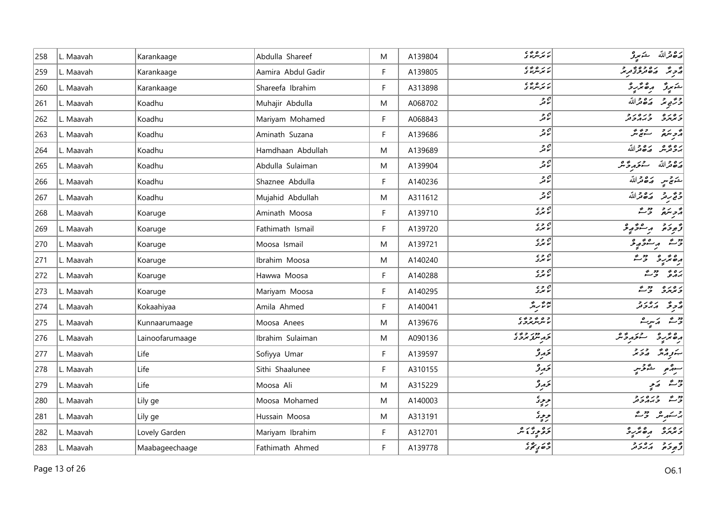| 258 | L. Maavah | Karankaage      | Abdulla Shareef    | M  | A139804 | ر ره ۶۵<br>ما <del>ب</del> رمر <i>ما</i> ی      | رە داللە شەيرو                                                                                                                                                                                                                                                                                                      |
|-----|-----------|-----------------|--------------------|----|---------|-------------------------------------------------|---------------------------------------------------------------------------------------------------------------------------------------------------------------------------------------------------------------------------------------------------------------------------------------------------------------------|
| 259 | L. Maavah | Karankaage      | Aamira Abdul Gadir | F. | A139805 | ر ر ه و د ،<br>ما مرس                           |                                                                                                                                                                                                                                                                                                                     |
| 260 | L. Maavah | Karankaage      | Shareefa Ibrahim   | F  | A313898 | ر ر ه و د ،<br>ما مرس د د                       | شكرو مقتررة                                                                                                                                                                                                                                                                                                         |
| 261 | L. Maavah | Koadhu          | Muhajir Abdulla    | M  | A068702 | رو<br>  مذهبہ                                   | جرمحي حرم مركز الله                                                                                                                                                                                                                                                                                                 |
| 262 | L. Maavah | Koadhu          | Mariyam Mohamed    | F. | A068843 | م و<br>ما فر                                    | ويوبره<br>و رە ر د<br>تر پروتر                                                                                                                                                                                                                                                                                      |
| 263 | L. Maavah | Koadhu          | Aminath Suzana     | F  | A139686 | م و<br>ما فر                                    | ۇ ئەسىر ئىسى ئىر                                                                                                                                                                                                                                                                                                    |
| 264 | L. Maavah | Koadhu          | Hamdhaan Abdullah  | Μ  | A139689 | م د<br>ما فر                                    | بروموه رومهالله                                                                                                                                                                                                                                                                                                     |
| 265 | L. Maavah | Koadhu          | Abdulla Sulaiman   | M  | A139904 | ص پر<br>مذک                                     | أرە قراللە سىخەر ئەش                                                                                                                                                                                                                                                                                                |
| 266 | L. Maavah | Koadhu          | Shaznee Abdulla    | F. | A140236 | م و<br>ما فر                                    | شَمَّةٌ سِمَّ وَكَدَّاللَّهُ                                                                                                                                                                                                                                                                                        |
| 267 | L. Maavah | Koadhu          | Mujahid Abdullah   | M  | A311612 | ص پر<br>مذک                                     | وقح سرقر الكاهر الله                                                                                                                                                                                                                                                                                                |
| 268 | L. Maavah | Koaruge         | Aminath Moosa      | F  | A139710 | م و ،<br>ما بو ،                                | أزويتهم وحث                                                                                                                                                                                                                                                                                                         |
| 269 | L. Maavah | Koaruge         | Fathimath Ismail   | F  | A139720 | م و ،<br>ما بو ،                                | برعوه و<br>ۇ بوخ تو<br>گ                                                                                                                                                                                                                                                                                            |
| 270 | L. Maavah | Koaruge         | Moosa Ismail       | Μ  | A139721 | م و ،<br>ما بوي                                 | وحد مشتر مو                                                                                                                                                                                                                                                                                                         |
| 271 | L. Maavah | Koaruge         | Ibrahim Moosa      | M  | A140240 | م و ،<br>ما بوي                                 | رەپر دەنە                                                                                                                                                                                                                                                                                                           |
| 272 | L. Maavah | Koaruge         | Hawwa Moosa        | F  | A140288 | ہ و ۽<br>ما بوي                                 | ر ه بو<br>برادگی<br>دو مح                                                                                                                                                                                                                                                                                           |
| 273 | L. Maavah | Koaruge         | Mariyam Moosa      | F. | A140295 | در د د<br>ما مور                                | ر ه ر ه<br>د بربر د<br>ست مشتر می                                                                                                                                                                                                                                                                                   |
| 274 | L. Maavah | Kokaahiyaa      | Amila Ahmed        | F. | A140041 | لتوثر بثر                                       | بر ٥ پر و<br>م <i>ر</i> بر <del>و</del> تر<br>وتروتخه                                                                                                                                                                                                                                                               |
| 275 | L. Maavah | Kunnaarumaage   | Moosa Anees        | M  | A139676 | و ه په وي  ،<br>ما سرسرپرو  ې                   | ورمج أرسره                                                                                                                                                                                                                                                                                                          |
| 276 | L. Maavah | Lainoofarumaage | Ibrahim Sulaiman   | M  | A090136 | ای دور دوره<br>افرو مرد برد د                   | رەئزىر ئىزرگىر                                                                                                                                                                                                                                                                                                      |
| 277 | L. Maavah | Life            | Sofiyya Umar       | F. | A139597 | ځه ژ                                            | 77320                                                                                                                                                                                                                                                                                                               |
| 278 | L. Maavah | Life            | Sithi Shaalunee    | F  | A310155 | ځهږو                                            |                                                                                                                                                                                                                                                                                                                     |
| 279 | L. Maavah | Life            | Moosa Ali          | M  | A315229 | ځه ژ                                            | $\frac{1}{2}$ $\frac{2}{2}$ $\frac{2}{2}$ $\frac{2}{2}$ $\frac{2}{2}$ $\frac{2}{2}$ $\frac{2}{2}$ $\frac{2}{2}$ $\frac{2}{2}$ $\frac{2}{2}$ $\frac{2}{2}$ $\frac{2}{2}$ $\frac{2}{2}$ $\frac{2}{2}$ $\frac{2}{2}$ $\frac{2}{2}$ $\frac{2}{2}$ $\frac{2}{2}$ $\frac{2}{2}$ $\frac{2}{2}$ $\frac{2}{2}$ $\frac{2}{2}$ |
| 280 | L. Maavah | Lily ge         | Moosa Mohamed      | M  | A140003 | موموتى<br>مرتو                                  | ور دره دره                                                                                                                                                                                                                                                                                                          |
| 281 | L. Maavah | Lily ge         | Hussain Moosa      | M  | A313191 | ا و و د<br><u>ا</u>                             | برسكر معرض وحسكم                                                                                                                                                                                                                                                                                                    |
| 282 | L. Maavah | Lovely Garden   | Mariyam Ibrahim    | F. | A312701 | ىرە مەيمە ئەنگە<br>مۇھ <sub>ىم</sub> ەتكە ئەنگە | ويوده<br>ە ھەمرىر 2<br>برھىمرىر 3                                                                                                                                                                                                                                                                                   |
| 283 | L. Maavah | Maabageechaage  | Fathimath Ahmed    | F. | A139778 | ۇ ئەسىمى<br>مەسىمى                              | و د د د د د د                                                                                                                                                                                                                                                                                                       |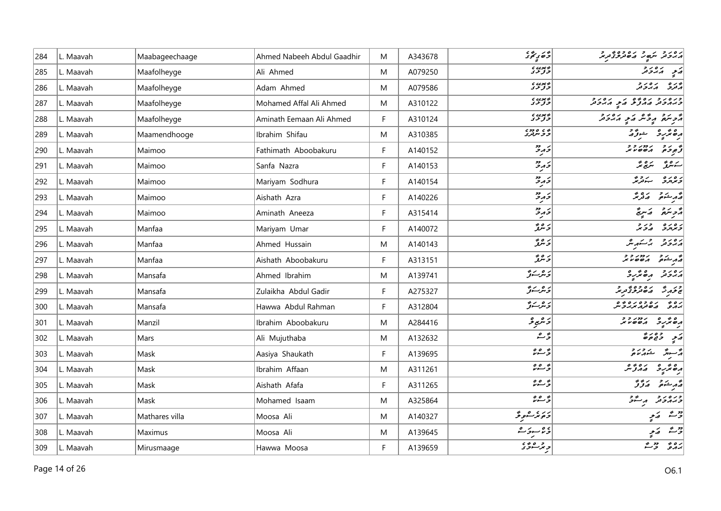| 284 | L. Maavah | Maabageechaage | Ahmed Nabeeh Abdul Gaadhir | M           | A343678 | د څو په نو                            | رەر دېم شھر دە دە دېر د                       |
|-----|-----------|----------------|----------------------------|-------------|---------|---------------------------------------|-----------------------------------------------|
| 285 | L. Maavah | Maafolheyge    | Ali Ahmed                  | M           | A079250 | ه برن تا<br>تر تو لو ی                | ړی د پرورو                                    |
| 286 | L. Maavah | Maafolheyge    | Adam Ahmed                 | M           | A079586 | ە يىزى ئ<br>تركرىل ى                  | وره ده دورد<br>م <i>رگرد</i> مرکزدگر          |
| 287 | L. Maavah | Maafolheyge    | Mohamed Affal Ali Ahmed    | M           | A310122 | ه میون تا<br>ترکوکو ت                 |                                               |
| 288 | L. Maavah | Maafolheyge    | Aminath Eemaan Ali Ahmed   | $\mathsf F$ | A310124 | ږ موړ <sup>ي</sup><br>تر تو تو ت      | أدوسكم وتحمير أيداد والمحمدة                  |
| 289 | L. Maavah | Maamendhooge   | Ibrahim Shifau             | M           | A310385 | ه ، ه دد ،<br>تر تر سربر <sub>ک</sub> | رەنزىر سۆزە                                   |
| 290 | L. Maavah | Maimoo         | Fathimath Aboobakuru       | $\mathsf F$ | A140152 | י<br>בנקב                             |                                               |
| 291 | L. Maavah | Maimoo         | Sanfa Nazra                | F           | A140153 | $\frac{1}{2}$                         | سەسرىق سىرە ئو                                |
| 292 | L. Maavah | Maimoo         | Mariyam Sodhura            | F           | A140154 | ת<br>קתיק                             | رەرە بەدىر<br><i>دى</i> رىرو بىلىر <i>ى</i> ر |
| 293 | L. Maavah | Maimoo         | Aishath Azra               | F           | A140226 | י<br>באקב                             | وكرم شكوه والمتورث                            |
| 294 | L. Maavah | Maimoo         | Aminath Aneeza             | F           | A315414 | $\stackrel{\sim}{\rightarrow}$        | أترجع وسبع                                    |
| 295 | L. Maavah | Manfaa         | Mariyam Umar               | F           | A140072 | ىز شرىچە                              | ر ه ر ه<br><del>و</del> بر بر و<br>ەرىر       |
| 296 | L. Maavah | Manfaa         | Ahmed Hussain              | M           | A140143 | ىز شرىچە                              | رەرد جەكتەش                                   |
| 297 | L. Maavah | Manfaa         | Aishath Aboobakuru         | $\mathsf F$ | A313151 | ىز شرىچە                              |                                               |
| 298 | L. Maavah | Mansafa        | Ahmed Ibrahim              | M           | A139741 | ۇ ئەرىسۇ ئە                           | גפנק גם ביני                                  |
| 299 | L. Maavah | Mansafa        | Zulaikha Abdul Gadir       | F           | A275327 | ۇ ئەرىسۇ ئە                           | ج تو مر <sup>2</sup> ده وه مر د               |
| 300 | L. Maavah | Mansafa        | Hawwa Abdul Rahman         | $\mathsf F$ | A312804 | ۇ ئەرىسۇ ئە                           | ره ده ده ده ده ده<br>بردو ده مرد بربر تر      |
| 301 | L. Maavah | Manzil         | Ibrahim Aboobakuru         | M           | A284416 | ځ مثنې څه                             | תפת כ תססעת                                   |
| 302 | L. Maavah | Mars           | Ali Mujuthaba              | M           | A132632 | ۇ شە                                  |                                               |
| 303 | L. Maavah | Mask           | Aasiya Shaukath            | $\mathsf F$ | A139695 | ۇرەرە                                 | أثر سودتر<br>ے تر رہے<br>مشور کو تھی          |
| 304 | L. Maavah | Mask           | Ibrahim Affaan             | M           | A311261 | ۇ سەر                                 | رەپرىر مەدرىر                                 |
| 305 | L. Maavah | Mask           | Aishath Afafa              | $\mathsf F$ | A311265 | ۇ سەر                                 | و درستان به درستها<br>مارستان مالوگر          |
| 306 | L. Maavah | Mask           | Mohamed Isaam              | M           | A325864 | ۇ سەر                                 | ورەرو پەشۇ                                    |
| 307 | L. Maavah | Mathares villa | Moosa Ali                  | M           | A140327 | ىرىر ، مەھ <sub>ر</sub> ىچە           | رحمت الأمي                                    |
| 308 | L. Maavah | Maximus        | Moosa Ali                  | M           | A139645 | <sup>ى ھ</sup> ەسىرى مە               | اتز مشتر                                      |
| 309 | L. Maavah | Mirusmaage     | Hawwa Moosa                | F.          | A139659 | لوچره ده                              | رە پە<br>پەرى<br>دومع                         |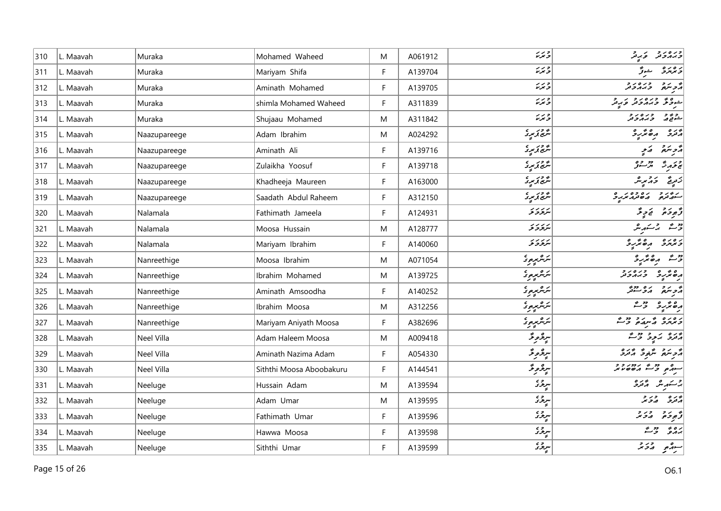| 310 | L. Maavah | Muraka       | Mohamed Waheed           | M           | A061912 | ويرز                          | ورور و در                                |
|-----|-----------|--------------|--------------------------|-------------|---------|-------------------------------|------------------------------------------|
| 311 | L. Maavah | Muraka       | Mariyam Shifa            | F.          | A139704 | ويرز                          | شەرگ<br>ر ه ر ه<br>د بربرد               |
| 312 | L. Maavah | Muraka       | Aminath Mohamed          | F           | A139705 | ويرز                          | و ره ر د<br>تر پروتو<br>لمجمع سرقر       |
| 313 | L. Maavah | Muraka       | shimla Mohamed Waheed    | F           | A311839 | ويرز                          | جود ورەرو رېږ                            |
| 314 | L. Maavah | Muraka       | Shujaau Mohamed          | M           | A311842 | ويرز                          | و ده و دره د و<br>شونج پر و بر در و در   |
| 315 | L. Maavah | Naazupareege | Adam Ibrahim             | M           | A024292 | مېز تر کمبر د مخ<br>مړينه     | برە ئۆرۈ<br>پە رە<br>مەنىرى              |
| 316 | L. Maavah | Naazupareege | Aminath Ali              | F.          | A139716 | پر در<br>متریخ بو سپر د       | ړې په کړې                                |
| 317 | L. Maavah | Naazupareege | Zulaikha Yoosuf          | F           | A139718 | پر در<br>مترج بو سپر د        | در شهر شده و ده<br>محمود ش               |
| 318 | L. Maavah | Naazupareege | Khadheeja Maureen        | F           | A163000 | پر در<br>متری کو سر پر        | تزمريح وكرمريش                           |
| 319 | L. Maavah | Naazupareege | Saadath Abdul Raheem     | F.          | A312150 | مېز تر بېر <sup>ي</sup>       | ر در د ده ده در ه                        |
| 320 | L. Maavah | Nalamala     | Fathimath Jameela        | F           | A124931 | ىئرىزىخە                      | وٌجوحَ حَ وَ حَ                          |
| 321 | L. Maavah | Nalamala     | Moosa Hussain            | M           | A128777 | ىرىزىز                        | روم مع مسكور مثل                         |
| 322 | L. Maavah | Nalamala     | Mariyam Ibrahim          | F.          | A140060 | ىرىزىز                        | دە ئەرد<br>ر ه ر ه<br><del>ر</del> بربرگ |
| 323 | L. Maavah | Nanreethige  | Moosa Ibrahim            | M           | A071054 | ىئەمىر<br>مىزىنز مور          |                                          |
| 324 | L. Maavah | Nanreethige  | Ibrahim Mohamed          | M           | A139725 | ىئەبىرىدى<br>م                | תפתקיב בג'וניב                           |
| 325 | L. Maavah | Nanreethige  | Aminath Amsoodha         | F           | A140252 | ىئەمىرىدى<br>سرىتىرىدىن       |                                          |
| 326 | L. Maavah | Nanreethige  | Ibrahim Moosa            | M           | A312256 | ىئەنگە يەر<br>ئ               | رەپرىر دىم                               |
| 327 | L. Maavah | Nanreethige  | Mariyam Aniyath Moosa    | F           | A382696 | مَدْ مَعرود<br>  سي <u>در</u> |                                          |
| 328 | L. Maavah | Neel Villa   | Adam Haleem Moosa        | M           | A009418 | سروگروگر                      | وزو ټرو وف                               |
| 329 | L. Maavah | Neel Villa   | Aminath Nazima Adam      | F.          | A054330 | سردگروگر                      | أأدمره للمود المرد                       |
| 330 | L. Maavah | Neel Villa   | Siththi Moosa Aboobakuru | F.          | A144541 | ىبرىۋە ئ <sup>ۇ</sup>         | 77777770                                 |
| 331 | L. Maavah | Neeluge      | Hussain Adam             | M           | A139594 | سرو ۽<br>پ                    | ج سے مرید مقرر ہے۔<br>مرید مقرر مقرر     |
| 332 | L. Maavah | Neeluge      | Adam Umar                | M           | A139595 | ىرو،<br>ئە                    | پەرە<br>مەنىرى<br>و ر و<br>در د بر       |
| 333 | L. Maavah | Neeluge      | Fathimath Umar           | $\mathsf F$ | A139596 | د ۽<br>سرچري                  | ا تۇ بور بو<br>ەرىر                      |
| 334 | L. Maavah | Neeluge      | Hawwa Moosa              | F.          | A139598 | د ۽<br>سرچري                  | برەپچ<br>دو مش                           |
| 335 | L. Maavah | Neeluge      | Siththi Umar             | F.          | A139599 | سرپری                         | سوره وردد                                |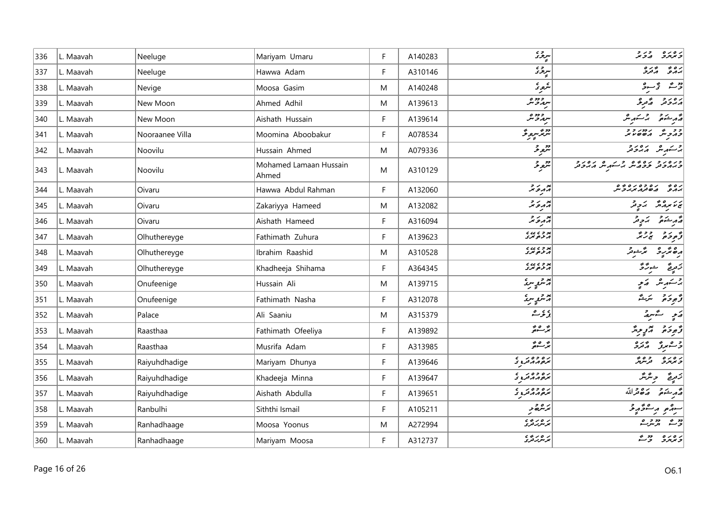| 336 | L. Maavah  | Neeluge         | Mariyam Umaru                   | F           | A140283 | سرپری                                  | و ر و<br>در د بر<br>ر ه ر ه<br><del>ر</del> بربر ژ       |
|-----|------------|-----------------|---------------------------------|-------------|---------|----------------------------------------|----------------------------------------------------------|
| 337 | L. Maavah  | Neeluge         | Hawwa Adam                      | F           | A310146 | ىرو،<br>ئە                             | برەپچ<br>پور ہ<br>مرکزو                                  |
| 338 | LL. Maavah | Nevige          | Moosa Gasim                     | M           | A140248 | ء<br>مترجو تح                          | رح تق تقر المحر السيار                                   |
| 339 | L. Maavah  | New Moon        | Ahmed Adhil                     | M           | A139613 | سردود ه                                | رەر د گەرى<br>مەرى ھەرى                                  |
| 340 | L. Maavah  | New Moon        | Aishath Hussain                 | F           | A139614 | اسدوره                                 | مەر ئىشمۇ بەسكىرىش                                       |
| 341 | L. Maavah  | Nooraanee Villa | Moomina Aboobakur               | F           | A078534 | يژبر <sub>سرعه</sub> پژ                | 77/77/<br>د ژ <sub>خر م</sub> تر                         |
| 342 | L. Maavah  | Noovilu         | Hussain Ahmed                   | M           | A079336 | يترعر فحر                              | ج ڪهر شرح پر پر جا پر جا سر                              |
| 343 | L. Maavah  | Noovilu         | Mohamed Lamaan Hussain<br>Ahmed | M           | A310129 | يتروخه                                 | כנסגב גם זם בגם בגבוב<br>במחכת י <i>כבה</i> ית געות ומכת |
| 344 | L. Maavah  | Oivaru          | Hawwa Abdul Rahman              | F           | A132060 | بر<br>مرمرغه تر                        | رەپ رەدەرەپەە<br>بەيرى يەھەرىر بىرىرىس                   |
| 345 | LL. Maavah | Oivaru          | Zakariyya Hameed                | M           | A132082 | مزمر و                                 | ىم ئىرمەش بەج قىر                                        |
| 346 | L. Maavah  | Oivaru          | Aishath Hameed                  | F           | A316094 | لترمره                                 | أقهر يشكوه أترجد                                         |
| 347 | L. Maavah  | Olhuthereyge    | Fathimath Zuhura                | F           | A139623 | پر و ی دی ی<br>هر نوحو موری            | وٌموحَمْ بِي حَمَدَ                                      |
| 348 | L. Maavah  | Olhuthereyge    | Ibrahim Raashid                 | M           | A310528 | پر و د ده ده<br>در مرحز د              | رە ئرىر ئىشىر                                            |
| 349 | L. Maavah  | Olhuthereyge    | Khadheeja Shihama               | F           | A364345 | پر و ی دی ی<br>در نومو بمری            | ر<br>ترورچ<br>ے بڑی<br>ے                                 |
| 350 | L. Maavah  | Onufeenige      | Hussain Ali                     | M           | A139715 | ېرىتى بىر <sub>ى</sub><br>مەسرىپە      | يز سکهر مثر اور اور پر                                   |
| 351 | L. Maavah  | Onufeenige      | Fathimath Nasha                 | $\mathsf F$ | A312078 | بر ش <sub>ریبو</sub> سری<br>مرسر       | ۇ بەر ئەسكە                                              |
| 352 | L. Maavah  | Palace          | Ali Saaniu                      | M           | A315379 | ۇ ئەڭ                                  | ي شهره.<br>موسيق                                         |
| 353 | L. Maavah  | Raasthaa        | Fathimath Ofeeliya              | $\mathsf F$ | A139892 | پر ٥ پر                                | أوالمحرور المعموجة                                       |
| 354 | L. Maavah  | Raasthaa        | Musrifa Adam                    | F           | A313985 | پر ٥ پر                                | پر ہ<br>مرکز<br>ۇ سەبىرۇ<br>م                            |
| 355 | L. Maavah  | Raiyuhdhadige   | Mariyam Dhunya                  | $\mathsf F$ | A139646 | ره وه ره و<br>مر <i>و م</i> مر         | ر ه بر ه<br><del>د</del> بربرگ<br>و ه پر<br>ترس          |
| 356 | L. Maavah  | Raiyuhdhadige   | Khadeeja Minna                  | F           | A139647 | ر ه و ه ر<br>مرحوم مرکز و ک            | كتعريج ويثريثر                                           |
| 357 | L. Maavah  | Raiyuhdhadige   | Aishath Abdulla                 | F           | A139651 | ره وه رع<br>بر <sub>گ</sub> ور د ترع ک | مَرْهِ قَرْاللَّه<br>پر ديگر ج<br><i>دگ</i> ار مشوجو     |
| 358 | L. Maavah  | Ranbulhi        | Siththi Ismail                  | F           | A105211 | ر 20 د<br>مرس                          | سره و مشرقه د                                            |
| 359 | L. Maavah  | Ranhadhaage     | Moosa Yoonus                    | M           | A272994 | ر ۵ ر ۵ ر<br>برس ر تری                 | دويم<br>يزيزعه                                           |
| 360 | L. Maavah  | Ranhadhaage     | Mariyam Moosa                   | F           | A312737 |                                        | ر ه بر ه<br><del>ر</del> بربر ژ<br>دريمه                 |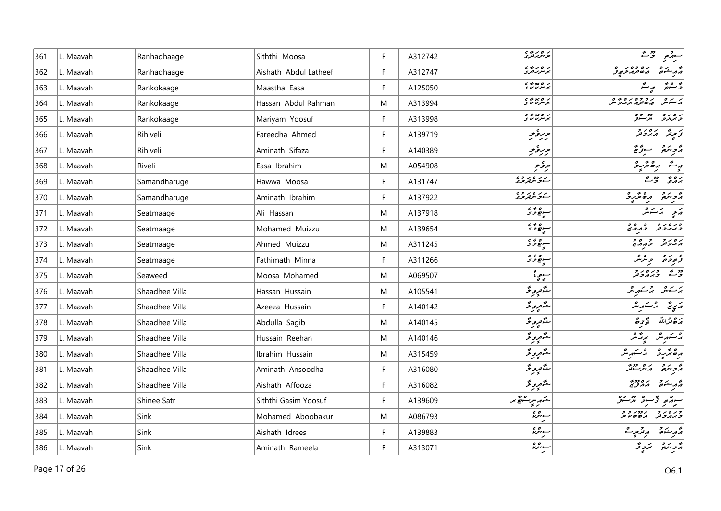| 361 | L. Maavah  | Ranhadhaage    | Siththi Moosa         | F | A312742 | ر ۵ ر ۵ ء<br>برىژرتر <sub>ى</sub>          | سرمو حيث                                          |
|-----|------------|----------------|-----------------------|---|---------|--------------------------------------------|---------------------------------------------------|
| 362 | L. Maavah  | Ranhadhaage    | Aishath Abdul Latheef | F | A312747 | ر ۵ ر ۵ د<br>برس ر ترو                     | ה<br>ההיים הסתה ביצי                              |
| 363 | L. Maavah  | Rankokaage     | Maastha Easa          | F | A125050 | ر ۵ پر ۵ پر<br>برس را ر                    | ۇرەپچ<br>پېرت                                     |
| 364 | L. Maavah  | Rankokaage     | Hassan Abdul Rahman   | M | A313994 | ر ٥ پر <i>٤ ٥</i><br>برس <i>٧ ٧ ى</i>      | ر ره ده ده ده ده و<br>پرسوس می فرم پرچ            |
| 365 | L. Maavah  | Rankokaage     | Mariyam Yoosuf        | F | A313998 | ر ٥ × ٥ ي<br>برس د د د                     | נפנס מיפס                                         |
| 366 | L. Maavah  | Rihiveli       | Fareedha Ahmed        | F | A139719 | ىررى<br>ئرىر ئىر                           | تزیید تر آبر آبر در                               |
| 367 | L. Maavah  | Rihiveli       | Aminath Sifaza        | F | A140389 | ىرر ئە<br>ئەرگۈ                            | ومحر يتمرسون المحتفظ والمحتفظ                     |
| 368 | L. Maavah  | Riveli         | Easa Ibrahim          | M | A054908 | برةعر                                      |                                                   |
| 369 | L. Maavah  | Samandharuge   | Hawwa Moosa           | F | A131747 | ے پر 2 پر 2 پر<br>سکوٹر میں بنوی           | بره په دوسته                                      |
| 370 | L. Maavah  | Samandharuge   | Aminath Ibrahim       | F | A137922 | ے پر ۱۵ پر وی<br>سنگو سرفر مر <sub>ک</sub> | دە ئەرد<br>أرمز تر                                |
| 371 | L. Maavah  | Seatmaage      | Ali Hassan            | M | A137918 | $558 -$                                    | أەي ئەسەھ                                         |
| 372 | LL. Maavah | Seatmaage      | Mohamed Muizzu        | M | A139654 | ر ه و و د<br>پرهان د د                     | כנסנכ כם<br>כגתכת כתתים                           |
| 373 | L. Maavah  | Seatmaage      | Ahmed Muizzu          | M | A311245 | ر ه و د د                                  | גפיק כברב                                         |
| 374 | L. Maavah  | Seatmaage      | Fathimath Minna       | F | A311266 | ر ه و و د<br>په هو د د                     | أقرموخرم وبثريثر                                  |
| 375 | L. Maavah  | Seaweed        | Moosa Mohamed         | M | A069507 | سوم ؟<br>پرو                               | أوقت وبره دو                                      |
| 376 | IL. Maavah | Shaadhee Villa | Hassan Hussain        | M | A105541 | ستجوره ژگر<br>س                            | ىرىكىش برجىتماس                                   |
| 377 | LL. Maavah | Shaadhee Villa | Azeeza Hussain        | F | A140142 | ىشەد <sub>ى</sub> رىدۇ.<br>ئىقتىم          | ە ئىم ئەسىر بىر                                   |
| 378 | L. Maavah  | Shaadhee Villa | Abdulla Sagib         | M | A140145 | ڪ <sup>ي</sup> ور <i>و</i> گر              | ەھىراللە<br>ۇ تى ھ                                |
| 379 | L. Maavah  | Shaadhee Villa | Hussain Reehan        | M | A140146 | ىشەد <sub>ى</sub> رىدۇ.<br>ئەس             | جەسكىرىش بېرچىش                                   |
| 380 | L. Maavah  | Shaadhee Villa | Ibrahim Hussain       | M | A315459 | ىشەرەپە<br>ئەس                             | بر ئەسەر بىر<br>ەرھ ئ <sup>ۆ</sup> ر ۋ            |
| 381 | LL. Maavah | Shaadhee Villa | Aminath Ansoodha      | F | A316080 | ىشەرەت<br>ئ                                | י היה הם בכי<br>הכנתם הית בב                      |
| 382 | L. Maavah  | Shaadhee Villa | Aishath Affooza       | F | A316082 | ر<br>شور و گر                              | و ده ده ده ده<br>مگرشوی مکرومی                    |
| 383 | L. Maavah  | Shinee Satr    | Siththi Gasim Yoosuf  | F | A139609 | ىنىد بىر شەھىر<br>سىر ئى                   | سوړ <sub>ه و</sub> ت <sub>خ</sub> سوی ورسوی<br>مر |
| 384 | L. Maavah  | Sink           | Mohamed Aboobakur     | M | A086793 | سومبره                                     | כנסנכ נחנכב<br>קמתכת <mark>מ</mark> ססטי <i>ת</i> |
| 385 | L. Maavah  | Sink           | Aishath Idrees        | F | A139883 | سومبره                                     | پ <sup>ر</sup> مرشو پر<br>ە بەقرىپە ت             |
| 386 | L. Maavah  | Sink           | Aminath Rameela       | F | A313071 | سومثره                                     | ثروبتنى بموقر                                     |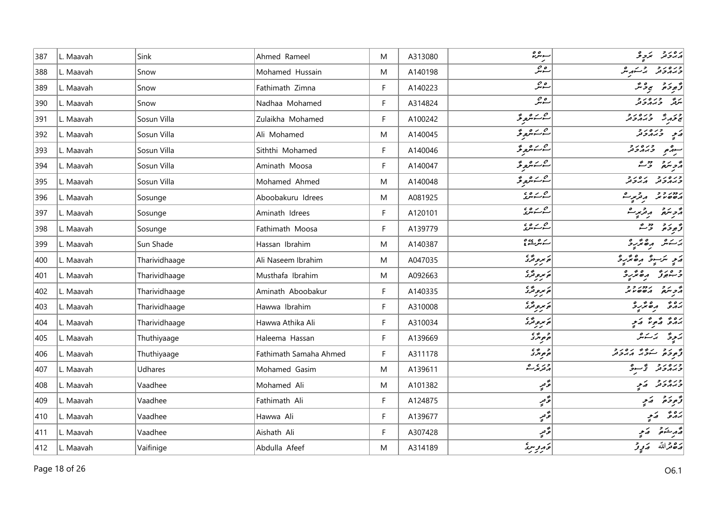| 387 | L. Maavah  | Sink           | Ahmed Rameel           | M           | A313080 | ببوره                    | أرەر ئەرە                                             |
|-----|------------|----------------|------------------------|-------------|---------|--------------------------|-------------------------------------------------------|
| 388 | L. Maavah  | Snow           | Mohamed Hussain        | M           | A140198 | مەير                     | ورەرو ورىم                                            |
| 389 | L. Maavah  | Snow           | Fathimath Zimna        | F           | A140223 | سەيىر                    | أزودكم بودش                                           |
| 390 | L. Maavah  | Snow           | Nadhaa Mohamed         | F           | A314824 | ه چی                     | أنترقش وبره برو                                       |
| 391 | L. Maavah  | Sosun Villa    | Zulaikha Mohamed       | F           | A100242 | <u>شر سەھرىم</u> ۇ       | ة <i>جُمْدِرٌ حُمْدُونُدُ</i>                         |
| 392 | L. Maavah  | Sosun Villa    | Ali Mohamed            | M           | A140045 | <u>شر ئەشرو ئە</u>       |                                                       |
| 393 | L. Maavah  | Sosun Villa    | Siththi Mohamed        | F           | A140046 | <u>شەسە ئىرو ئ</u>       | سوهم وبره دو                                          |
| 394 | LL. Maavah | Sosun Villa    | Aminath Moosa          | F           | A140047 | 2 سەمب <sub>ىرى</sub> ئە | ړ په ده ده د                                          |
| 395 | L. Maavah  | Sosun Villa    | Mohamed Ahmed          | M           | A140048 | استمستقرمر               | כנסנכ נסנכ<br>כגמכ <mark>ט ה</mark> גכ <mark>ט</mark> |
| 396 | LL. Maavah | Sosunge        | Aboobakuru Idrees      | M           | A081925 | <u>مى ئەيدى</u>          | גמגר כרי תנקעים                                       |
| 397 | L. Maavah  | Sosunge        | Aminath Idrees         | F           | A120101 | <u>مى ئەيدى</u>          | أدوسم أرور المحمول                                    |
| 398 | L. Maavah  | Sosunge        | Fathimath Moosa        | F           | A139779 | <u>م ئەيدى</u>           | چ مئے<br>و څو څخه                                     |
| 399 | L. Maavah  | Sun Shade      | Hassan Ibrahim         | Μ           | A140387 | ئەنگەرىيە <i>9</i>       | برسكس مقترح                                           |
| 400 | L. Maavah  | Tharividhaage  | Ali Naseem Ibrahim     | M           | A047035 | ر<br>حوموموتری           | ړې شرېرو ره ټرېو                                      |
| 401 | L. Maavah  | Tharividhaage  | Musthafa Ibrahim       | M           | A092663 | ر<br>حومرو ترد           | وجبور رەپرى                                           |
| 402 | L. Maavah  | Tharividhaage  | Aminath Aboobakur      | F           | A140335 | ە<br>مۇمومۇرى            | 22 1 33 1<br>J 4 4 6 6 1<br>أرمر وسرة                 |
| 403 | L. Maavah  | Tharividhaage  | Hawwa Ibrahim          | $\mathsf F$ | A310008 | ئە ئىرە قرى              | أبروء وهتربرد                                         |
| 404 | L. Maavah  | Tharividhaage  | Hawwa Athika Ali       | F           | A310034 | ئە ئىرە قرى              |                                                       |
| 405 | L. Maavah  | Thuthiyaage    | Haleema Hassan         | F           | A139669 | د<br>حوم پرې             |                                                       |
| 406 | L. Maavah  | Thuthiyaage    | Fathimath Samaha Ahmed | F           | A311178 | د پر پر<br>مومر          | تو د د د ده د د د د                                   |
| 407 | L. Maavah  | <b>Udhares</b> | Mohamed Gasim          | M           | A139611 | د ري ھ<br>مرمر سگ        | ورەرو پچىسو                                           |
| 408 | L. Maavah  | Vaadhee        | Mohamed Ali            | M           | A101382 | ءً مَرٍ                  | وره رو کرم                                            |
| 409 | LL. Maavah | Vaadhee        | Fathimath Ali          | F           | A124875 | ۇ<br>ق <sub>ە</sub> لىر  | توموقو الأمي                                          |
| 410 | L. Maavah  | Vaadhee        | Hawwa Ali              | F.          | A139677 | ر<br>حگار                | پروڅ کمنځ                                             |
| 411 | L. Maavah  | Vaadhee        | Aishath Ali            | F.          | A307428 | ر<br>حومرٍ               | وكرمشتمو الكمح                                        |
| 412 | L. Maavah  | Vaifinige      | Abdulla Afeef          | Μ           | A314189 | ءَ <sub>مر</sub> وسرءَ   | رە ت <sub>ىراللە س</sub> وتى                          |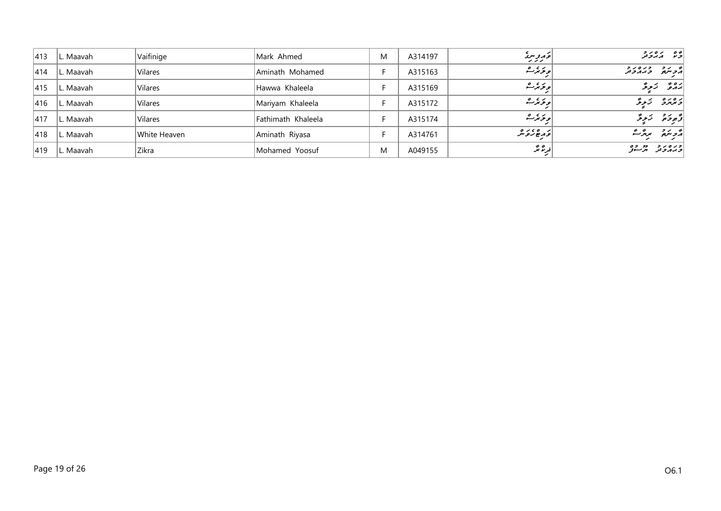| 413 | L. Maavah | Vaifinige      | Mark Ahmed         | M | A314197 | عَ مِر وِ سِرَءٌ | وه بروبر و<br>ح <i>ما م</i> بروتر |
|-----|-----------|----------------|--------------------|---|---------|------------------|-----------------------------------|
| 414 | L. Maavah | <b>Vilares</b> | Aminath Mohamed    |   | A315163 | ء ځه ښه          | ه در دره در د                     |
| 415 | L. Maavah | <b>Vilares</b> | Hawwa Khaleela     |   | A315169 | ء ځه ټر شر       | پرونځ<br>ز و و گ                  |
| 416 | L. Maavah | <b>Vilares</b> | Mariyam Khaleela   |   | A315172 | پرې شه           | ئە ئەرە<br>تزوی                   |
| 417 | L. Maavah | <b>Vilares</b> | Fathimath Khaleela |   | A315174 | دې نه ک          | ا توجو څخه د<br>تزوی              |
| 418 | L. Maavah | White Heaven   | Aminath Riyasa     |   | A314761 | ئەرھ ئەر ش       | أمر حرمته محرم المراكب            |
| 419 | L. Maavah | <b>Zikra</b>   | Mohamed Yoosuf     | M | A049155 | فدره تتر         | כנסג בכפי<br>כ <i>ג</i> וגבת וק   |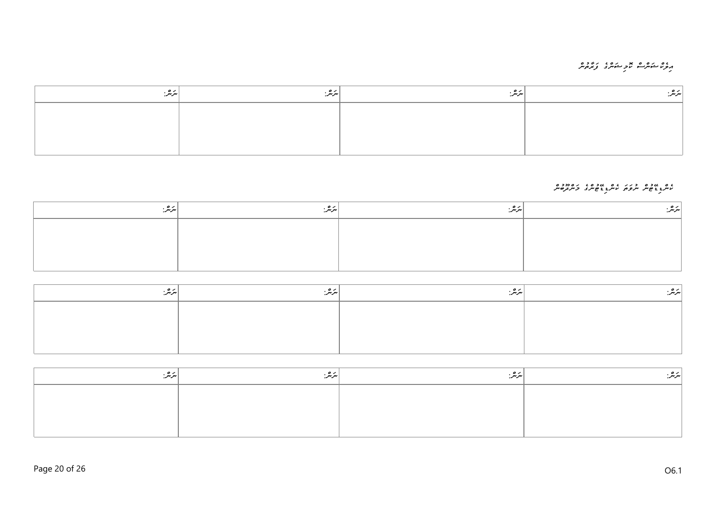## *w7qAn8m? sCw7mRo>u; wEw7mRw;sBo<*

| ' مرمر | 'يئرىثر: |
|--------|----------|
|        |          |
|        |          |
|        |          |

## *w7q9r@w7m> sCw7qHtFoFw7s; mAm=q7 w7qHtFoFw7s;*

| يئرمىش: | $^{\circ}$<br>. سر سر<br>$\cdot$ | $\circ$ $\sim$<br>-- | يئرمثر |
|---------|----------------------------------|----------------------|--------|
|         |                                  |                      |        |
|         |                                  |                      |        |
|         |                                  |                      |        |

| انترنثر: | $^{\circ}$ | يبرهر | $^{\circ}$<br>سرسر |
|----------|------------|-------|--------------------|
|          |            |       |                    |
|          |            |       |                    |
|          |            |       |                    |

| ىرتىر: | 。<br>سر سر | .,<br>مرسر |
|--------|------------|------------|
|        |            |            |
|        |            |            |
|        |            |            |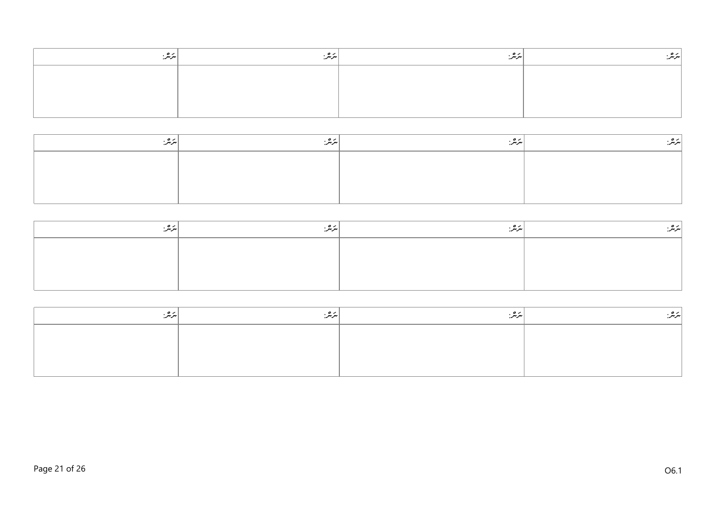| يره. | ο. | ا ير ه |  |
|------|----|--------|--|
|      |    |        |  |
|      |    |        |  |
|      |    |        |  |

| <sup>.</sup> سرسر. |  |
|--------------------|--|
|                    |  |
|                    |  |
|                    |  |

| ىئرىتر. | $\sim$ | ا بر هه. | لىرىش |
|---------|--------|----------|-------|
|         |        |          |       |
|         |        |          |       |
|         |        |          |       |

| 。<br>مرس. | $\overline{\phantom{a}}$<br>مر مىر | ىرىر |
|-----------|------------------------------------|------|
|           |                                    |      |
|           |                                    |      |
|           |                                    |      |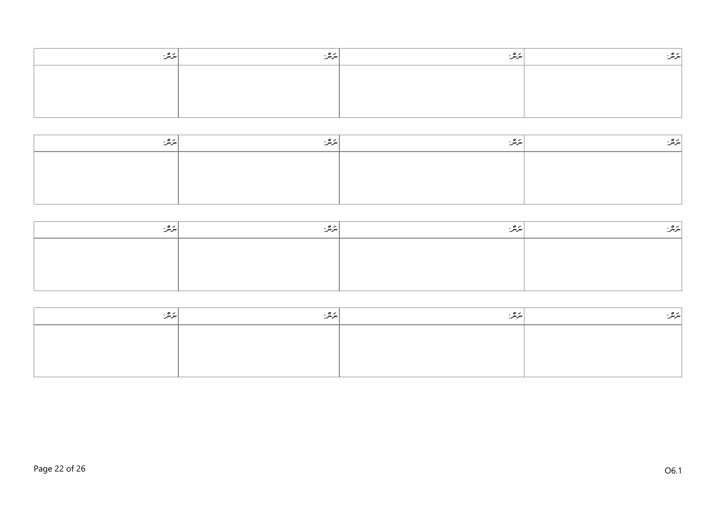| ير هو . | $\overline{\phantom{a}}$ | يرمر | اير هنه. |
|---------|--------------------------|------|----------|
|         |                          |      |          |
|         |                          |      |          |
|         |                          |      |          |

| ىر تىر: | $\circ$ $\sim$<br>" سرسر . | يبرحه | o . |
|---------|----------------------------|-------|-----|
|         |                            |       |     |
|         |                            |       |     |
|         |                            |       |     |

| 'تترنثر: | 。<br>,,,, |  |
|----------|-----------|--|
|          |           |  |
|          |           |  |
|          |           |  |

|  | . ه |
|--|-----|
|  |     |
|  |     |
|  |     |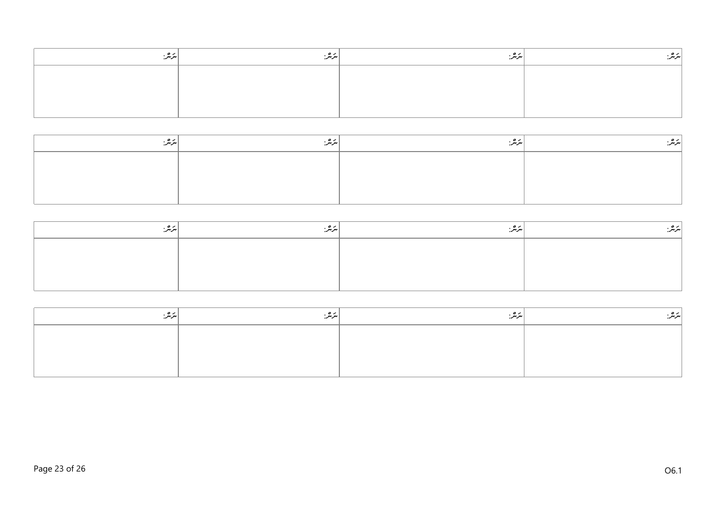| ير هو . | $\overline{\phantom{a}}$ | يرمر | اير هنه. |
|---------|--------------------------|------|----------|
|         |                          |      |          |
|         |                          |      |          |
|         |                          |      |          |

| ىبرىر. | $\sim$<br>ا سرسر . | يئرمثر | o . |
|--------|--------------------|--------|-----|
|        |                    |        |     |
|        |                    |        |     |
|        |                    |        |     |

| 'تترنثر: | 。<br>,,,, |  |
|----------|-----------|--|
|          |           |  |
|          |           |  |
|          |           |  |

|  | . ه |
|--|-----|
|  |     |
|  |     |
|  |     |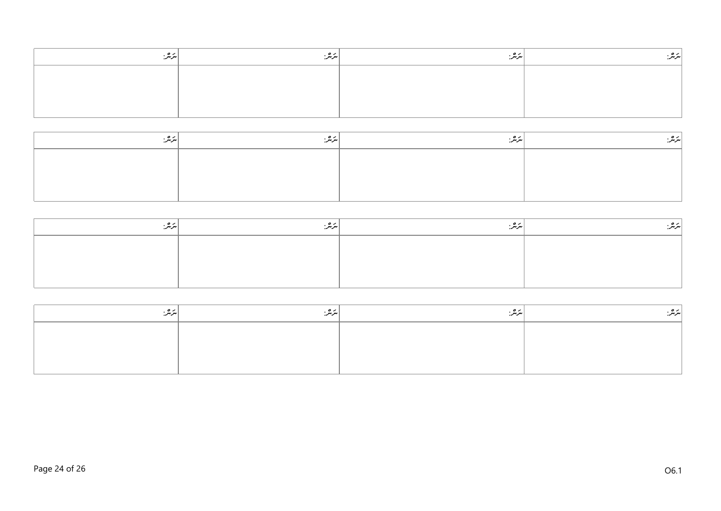| $\cdot$ | 。 | $\frac{\circ}{\cdot}$ | $\sim$<br>سرسر |
|---------|---|-----------------------|----------------|
|         |   |                       |                |
|         |   |                       |                |
|         |   |                       |                |

| يريثن | ' سرسر . |  |
|-------|----------|--|
|       |          |  |
|       |          |  |
|       |          |  |

| بر ه | . ه | $\overline{\phantom{0}}$<br>سرسر |  |
|------|-----|----------------------------------|--|
|      |     |                                  |  |
|      |     |                                  |  |
|      |     |                                  |  |

| 。<br>. س | ىرىىر |  |
|----------|-------|--|
|          |       |  |
|          |       |  |
|          |       |  |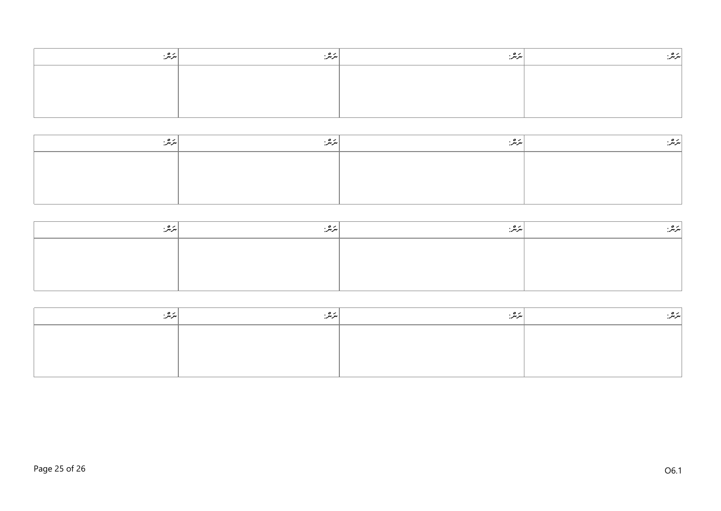| ير هو . | $\overline{\phantom{a}}$ | يرمر | اير هنه. |
|---------|--------------------------|------|----------|
|         |                          |      |          |
|         |                          |      |          |
|         |                          |      |          |

| ىر تىر: | $\circ$ $\sim$<br>" سرسر . | يبرحه | o . |
|---------|----------------------------|-------|-----|
|         |                            |       |     |
|         |                            |       |     |
|         |                            |       |     |

| انترنثر: | ر ه |  |
|----------|-----|--|
|          |     |  |
|          |     |  |
|          |     |  |

|  | . ه |
|--|-----|
|  |     |
|  |     |
|  |     |